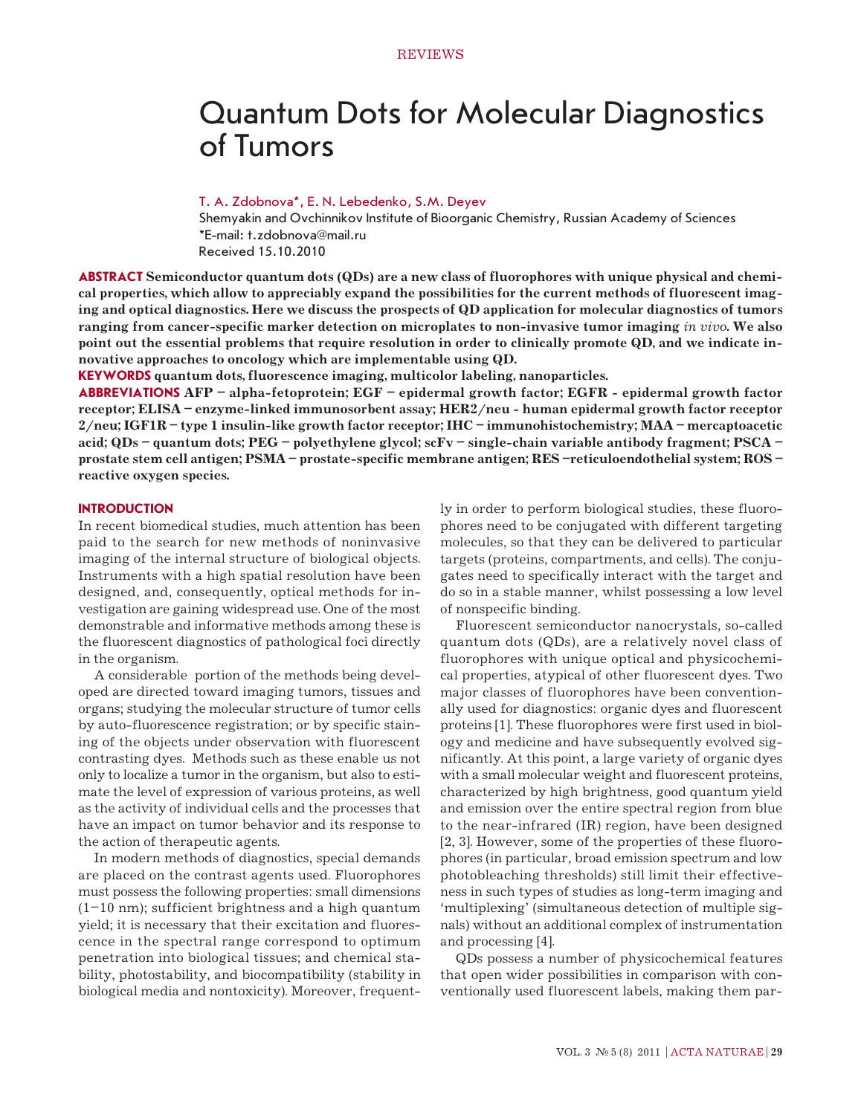# Quantum Dots for Molecular Diagnostics of Tumors

## T. A. Zdobnova\*, E. N. Lebedenko, S.М. Deyev

Shemyakin and Ovchinnikov Institute of Bioorganic Chemistry, Russian Academy of Sciences \*E-mail: t.zdobnova@mail.ru Received 15.10.2010

**ABSTRACT Semiconductor quantum dots (QDs) are a new class of fluorophores with unique physical and chemical properties, which allow to appreciably expand the possibilities for the current methods of fluorescent imaging and optical diagnostics. Here we discuss the prospects of QD application for molecular diagnostics of tumors ranging from cancer-specific marker detection on microplates to non-invasive tumor imaging** *in vivo***. We also point out the essential problems that require resolution in order to clinically promote QD, and we indicate innovative approaches to oncology which are implementable using QD.**

**KEYWORDS quantum dots, fluorescence imaging, multicolor labeling, nanoparticles.**

**ABBREVIATIONS AFP – alpha-fetoprotein; EGF – epidermal growth factor; EGFR - epidermal growth factor receptor; ELISA – enzyme-linked immunosorbent assay; HER2/neu - human epidermal growth factor receptor 2/neu; IGF1R – type 1 insulin-like growth factor receptor; IHC – immunohistochemistry; MAA – mercaptoacetic acid; QDs – quantum dots; PEG – polyethylene glycol; scFv – single-chain variable antibody fragment; PSCA – prostate stem cell antigen; PSMA – prostate-specific membrane antigen; RES –reticuloendothelial system; ROS – reactive oxygen species.**

## **Introduction**

In recent biomedical studies, much attention has been paid to the search for new methods of noninvasive imaging of the internal structure of biological objects. Instruments with a high spatial resolution have been designed, and, consequently, optical methods for investigation are gaining widespread use. One of the most demonstrable and informative methods among these is the fluorescent diagnostics of pathological foci directly in the organism.

A considerable portion of the methods being developed are directed toward imaging tumors, tissues and organs; studying the molecular structure of tumor cells by auto-fluorescence registration; or by specific staining of the objects under observation with fluorescent contrasting dyes. Methods such as these enable us not only to localize a tumor in the organism, but also to estimate the level of expression of various proteins, as well as the activity of individual cells and the processes that have an impact on tumor behavior and its response to the action of therapeutic agents.

In modern methods of diagnostics, special demands are placed on the contrast agents used. Fluorophores must possess the following properties: small dimensions  $(1-10 \text{ nm})$ ; sufficient brightness and a high quantum yield; it is necessary that their excitation and fluorescence in the spectral range correspond to optimum penetration into biological tissues; and chemical stability, photostability, and biocompatibility (stability in biological media and nontoxicity). Moreover, frequently in order to perform biological studies, these fluorophores need to be conjugated with different targeting molecules, so that they can be delivered to particular targets (proteins, compartments, and cells). The conjugates need to specifically interact with the target and do so in a stable manner, whilst possessing a low level of nonspecific binding.

Fluorescent semiconductor nanocrystals, so-called quantum dots (QDs), are a relatively novel class of fluorophores with unique optical and physicochemical properties, atypical of other fluorescent dyes. Two major classes of fluorophores have been conventionally used for diagnostics: organic dyes and fluorescent proteins [1]. These fluorophores were first used in biology and medicine and have subsequently evolved significantly. At this point, a large variety of organic dyes with a small molecular weight and fluorescent proteins, characterized by high brightness, good quantum yield and emission over the entire spectral region from blue to the near-infrared (IR) region, have been designed [2, 3]. However, some of the properties of these fluorophores (in particular, broad emission spectrum and low photobleaching thresholds) still limit their effectiveness in such types of studies as long-term imaging and 'multiplexing' (simultaneous detection of multiple signals) without an additional complex of instrumentation and processing [4].

QDs possess a number of physicochemical features that open wider possibilities in comparison with conventionally used fluorescent labels, making them par-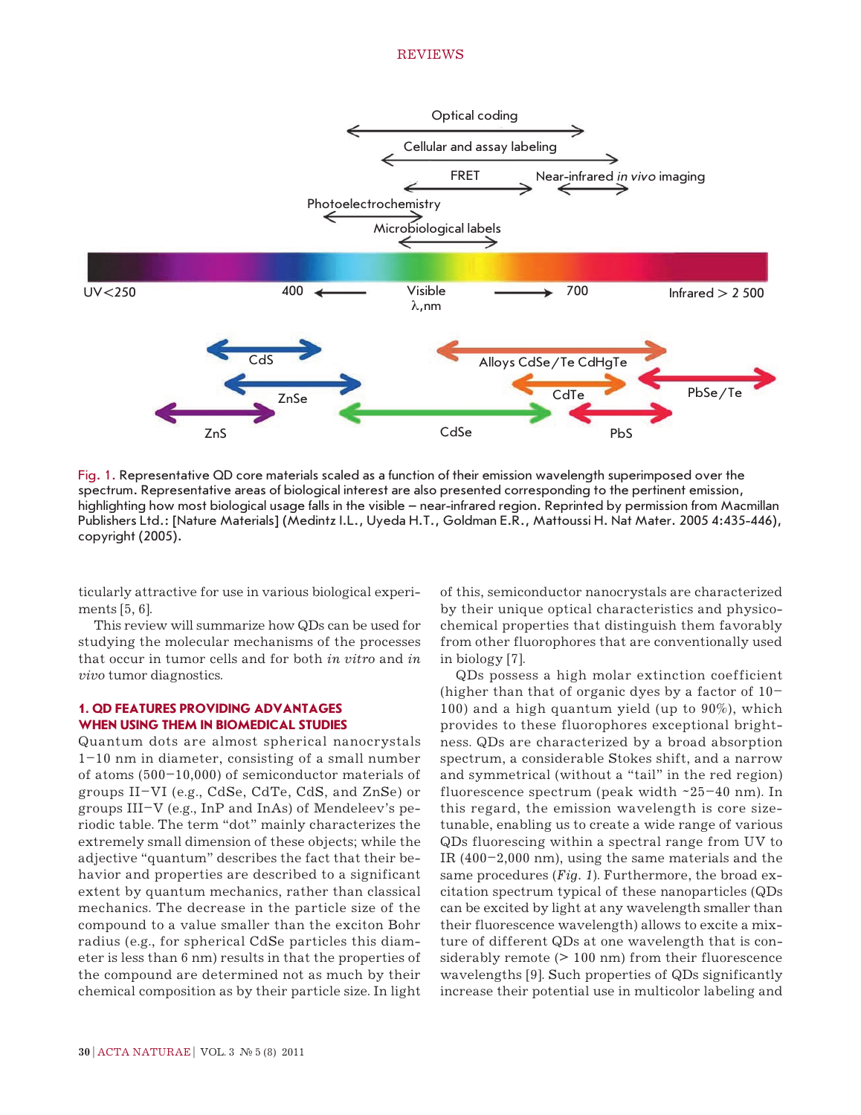# REVIEWS



Fig. 1. Representative QD core materials scaled as a function of their emission wavelength superimposed over the spectrum. Representative areas of biological interest are also presented corresponding to the pertinent emission, highlighting how most biological usage falls in the visible – near-infrared region. Reprinted by permission from Macmillan Publishers Ltd.: [Nature Materials] (Medintz I.L., Uyeda H.T., Goldman E.R., Mattoussi H. Nat Mater. 2005 4:435-446), copyright (2005).

ticularly attractive for use in various biological experiments [5, 6].

This review will summarize how QDs can be used for studying the molecular mechanisms of the processes that occur in tumor cells and for both *in vitro* and *in vivo* tumor diagnostics.

# **1. QD FEATURES PROVIDING ADVANTAGES WHEN USING THEM IN BIOMEDICAL STUDIES**

Quantum dots are almost spherical nanocrystals 1–10 nm in diameter, consisting of a small number of atoms (500–10,000) of semiconductor materials of groups II–VI (e.g., CdSe, CdTe, CdS, and ZnSe) or groups III–V (e.g., InP and InAs) of Mendeleev's periodic table. The term "dot" mainly characterizes the extremely small dimension of these objects; while the adjective "quantum" describes the fact that their behavior and properties are described to a significant extent by quantum mechanics, rather than classical mechanics. The decrease in the particle size of the compound to a value smaller than the exciton Bohr radius (e.g., for spherical СdSe particles this diameter is less than 6 nm) results in that the properties of the compound are determined not as much by their chemical composition as by their particle size. In light of this, semiconductor nanocrystals are characterized by their unique optical characteristics and physicochemical properties that distinguish them favorably from other fluorophores that are conventionally used in biology [7].

QDs possess a high molar extinction coefficient (higher than that of organic dyes by a factor of 10– 100) and a high quantum yield (up to  $90\%$ ), which provides to these fluorophores exceptional brightness. QDs are characterized by a broad absorption spectrum, a considerable Stokes shift, and a narrow and symmetrical (without a "tail" in the red region) fluorescence spectrum (peak width  $\sim 25-40$  nm). In this regard, the emission wavelength is core sizetunable, enabling us to create a wide range of various QDs fluorescing within a spectral range from UV to IR (400–2,000 nm), using the same materials and the same procedures (*Fig. 1*). Furthermore, the broad excitation spectrum typical of these nanoparticles (QDs can be excited by light at any wavelength smaller than their fluorescence wavelength) allows to excite a mixture of different QDs at one wavelength that is considerably remote  $(> 100 \text{ nm})$  from their fluorescence wavelengths [9]. Such properties of QDs significantly increase their potential use in multicolor labeling and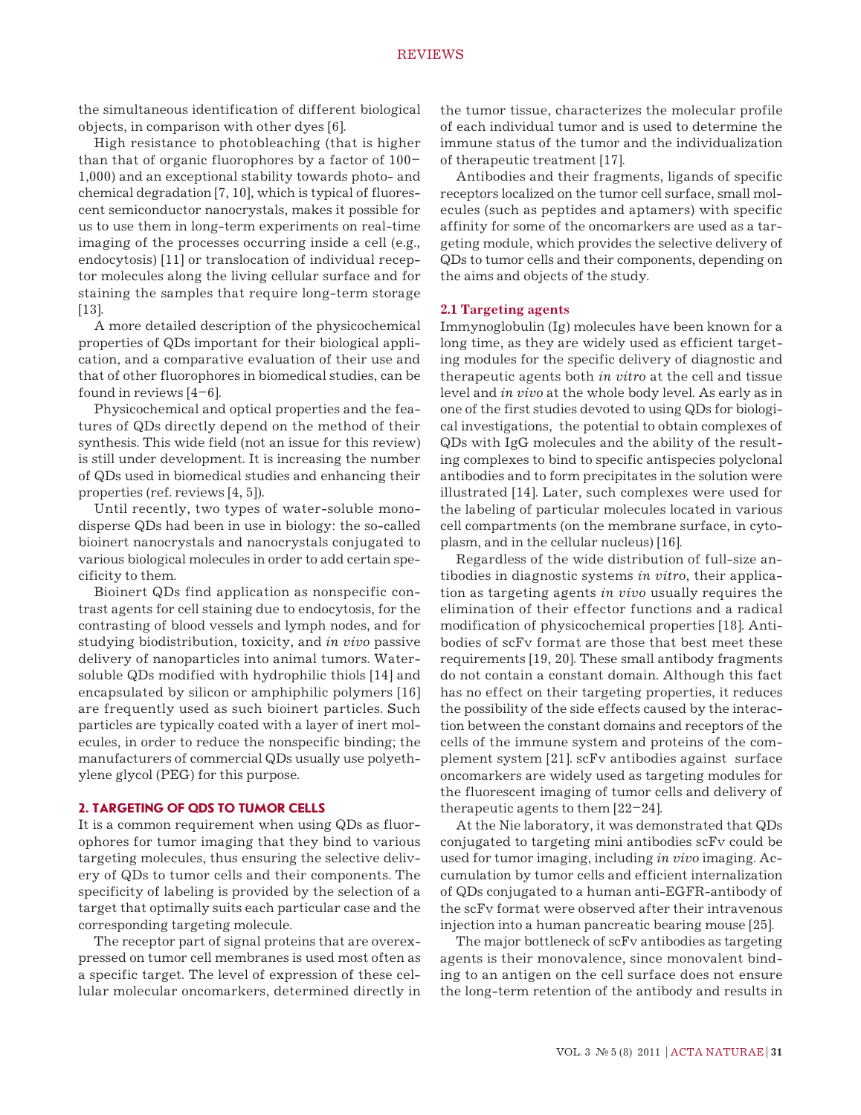the simultaneous identification of different biological objects, in comparison with other dyes [6].

High resistance to photobleaching (that is higher than that of organic fluorophores by a factor of 100– 1,000) and an exceptional stability towards photo- and chemical degradation [7, 10], which is typical of fluorescent semiconductor nanocrystals, makes it possible for us to use them in long-term experiments on real-time imaging of the processes occurring inside a cell (e.g., endocytosis) [11] or translocation of individual receptor molecules along the living cellular surface and for staining the samples that require long-term storage [13].

A more detailed description of the physicochemical properties of QDs important for their biological application, and a comparative evaluation of their use and that of other fluorophores in biomedical studies, can be found in reviews  $[4-6]$ .

Physicochemical and optical properties and the features of QDs directly depend on the method of their synthesis. This wide field (not an issue for this review) is still under development. It is increasing the number of QDs used in biomedical studies and enhancing their properties (ref. reviews [4, 5]).

Until recently, two types of water-soluble monodisperse QDs had been in use in biology: the so-called bioinert nanocrystals and nanocrystals conjugated to various biological molecules in order to add certain specificity to them.

Bioinert QDs find application as nonspecific contrast agents for cell staining due to endocytosis, for the contrasting of blood vessels and lymph nodes, and for studying biodistribution, toxicity, and *in vivo* passive delivery of nanoparticles into animal tumors. Watersoluble QDs modified with hydrophilic thiols [14] and encapsulated by silicon or amphiphilic polymers [16] are frequently used as such bioinert particles. Such particles are typically coated with a layer of inert molecules, in order to reduce the nonspecific binding; the manufacturers of commercial QDs usually use polyethylene glycol (PEG) for this purpose.

## **2. TARGETING OF QDs TO TUMOR CELLS**

It is a common requirement when using QDs as fluorophores for tumor imaging that they bind to various targeting molecules, thus ensuring the selective delivery of QDs to tumor cells and their components. The specificity of labeling is provided by the selection of a target that optimally suits each particular case and the corresponding targeting molecule.

The receptor part of signal proteins that are overexpressed on tumor cell membranes is used most often as a specific target. The level of expression of these cellular molecular oncomarkers, determined directly in the tumor tissue, characterizes the molecular profile of each individual tumor and is used to determine the immune status of the tumor and the individualization of therapeutic treatment [17].

Antibodies and their fragments, ligands of specific receptors localized on the tumor cell surface, small molecules (such as peptides and aptamers) with specific affinity for some of the oncomarkers are used as a targeting module, which provides the selective delivery of QDs to tumor cells and their components, depending on the aims and objects of the study.

# **2.1 Targeting agents**

Immynoglobulin (Ig) molecules have been known for a long time, as they are widely used as efficient targeting modules for the specific delivery of diagnostic and therapeutic agents both *in vitro* at the cell and tissue level and *in vivo* at the whole body level. As early as in one of the first studies devoted to using QDs for biological investigations, the potential to obtain complexes of QDs with IgG molecules and the ability of the resulting complexes to bind to specific antispecies polyclonal antibodies and to form precipitates in the solution were illustrated [14]. Later, such complexes were used for the labeling of particular molecules located in various cell compartments (on the membrane surface, in cytoplasm, and in the cellular nucleus) [16].

Regardless of the wide distribution of full-size antibodies in diagnostic systems *in vitro*, their application as targeting agents *in vivo* usually requires the elimination of their effector functions and a radical modification of physicochemical properties [18]. Antibodies of scFv format are those that best meet these requirements [19, 20]. These small antibody fragments do not contain a constant domain. Although this fact has no effect on their targeting properties, it reduces the possibility of the side effects caused by the interaction between the constant domains and receptors of the cells of the immune system and proteins of the complement system [21]. scFv antibodies against surface oncomarkers are widely used as targeting modules for the fluorescent imaging of tumor cells and delivery of therapeutic agents to them [22–24].

At the Nie laboratory, it was demonstrated that QDs conjugated to targeting mini antibodies scFv could be used for tumor imaging, including *in vivo* imaging. Accumulation by tumor cells and efficient internalization of QDs conjugated to a human anti-EGFR-antibody of the scFv format were observed after their intravenous injection into a human pancreatic bearing mouse [25].

The major bottleneck of scFv antibodies as targeting agents is their monovalence, since monovalent binding to an antigen on the cell surface does not ensure the long-term retention of the antibody and results in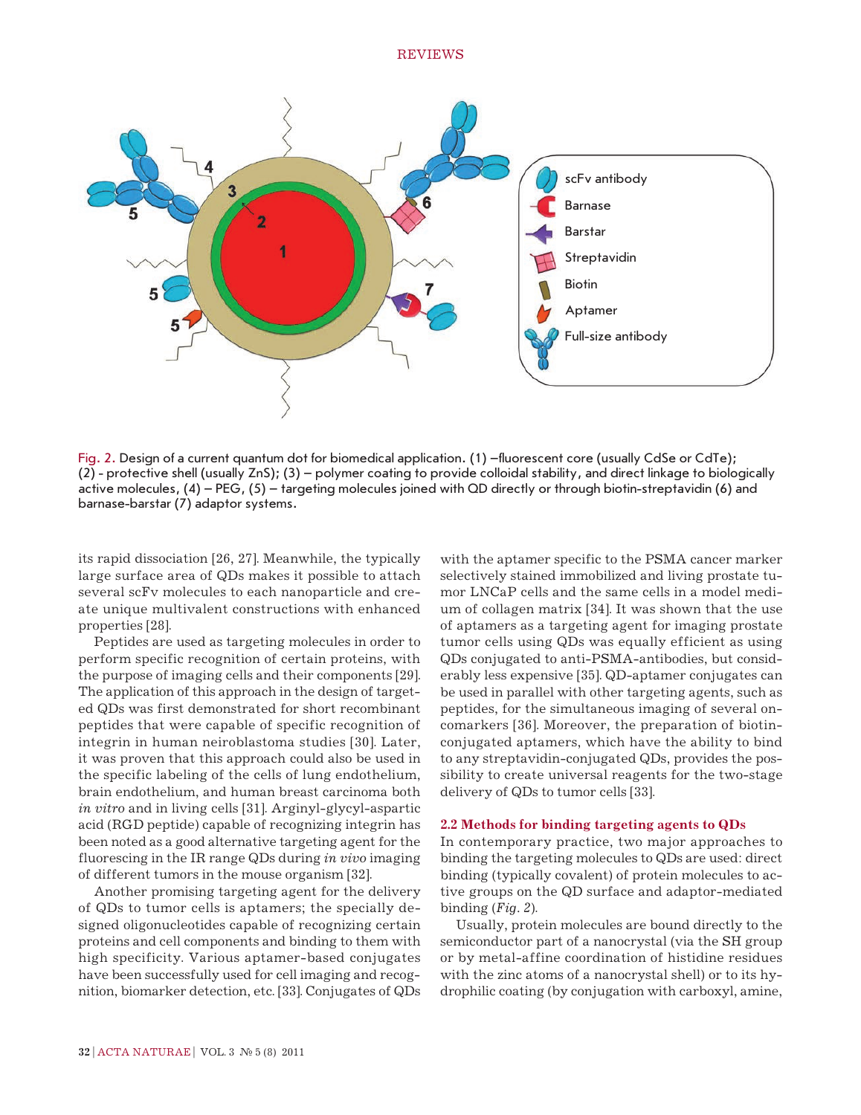

Fig. 2. Design of a current quantum dot for biomedical application. (1) –fluorescent core (usually CdSe or CdTe); (2) - protective shell (usually ZnS); (3) – polymer coating to provide colloidal stability, and direct linkage to biologically active molecules, (4) – PEG, (5) – targeting molecules joined with QD directly or through biotin-streptavidin (6) and barnase-barstar (7) adaptor systems.

its rapid dissociation [26, 27]. Meanwhile, the typically large surface area of QDs makes it possible to attach several scFv molecules to each nanoparticle and create unique multivalent constructions with enhanced properties [28].

Peptides are used as targeting molecules in order to perform specific recognition of certain proteins, with the purpose of imaging cells and their components [29]. The application of this approach in the design of targeted QDs was first demonstrated for short recombinant peptides that were capable of specific recognition of integrin in human neiroblastoma studies [30]. Later, it was proven that this approach could also be used in the specific labeling of the cells of lung endothelium, brain endothelium, and human breast carcinoma both *in vitro* and in living cells [31]. Arginyl-glycyl-aspartic acid (RGD peptide) capable of recognizing integrin has been noted as a good alternative targeting agent for the fluorescing in the IR range QDs during *in vivo* imaging of different tumors in the mouse organism [32].

Another promising targeting agent for the delivery of QDs to tumor cells is aptamers; the specially designed oligonucleotides capable of recognizing certain proteins and cell components and binding to them with high specificity. Various aptamer-based conjugates have been successfully used for cell imaging and recognition, biomarker detection, etc. [33]. Conjugates of QDs with the aptamer specific to the PSMA cancer marker selectively stained immobilized and living prostate tumor LNCaP cells and the same cells in a model medium of collagen matrix [34]. It was shown that the use of aptamers as a targeting agent for imaging prostate tumor cells using QDs was equally efficient as using QDs conjugated to anti-PSMA-antibodies, but considerably less expensive [35]. QD-aptamer conjugates can be used in parallel with other targeting agents, such as peptides, for the simultaneous imaging of several oncomarkers [36]. Moreover, the preparation of biotinconjugated aptamers, which have the ability to bind to any streptavidin-conjugated QDs, provides the possibility to create universal reagents for the two-stage delivery of QDs to tumor cells [33].

#### **2.2 Methods for binding targeting agents to QDs**

In contemporary practice, two major approaches to binding the targeting molecules to QDs are used: direct binding (typically covalent) of protein molecules to active groups on the QD surface and adaptor-mediated binding (*Fig. 2*).

Usually, protein molecules are bound directly to the semiconductor part of a nanocrystal (via the SH group or by metal-affine coordination of histidine residues with the zinc atoms of a nanocrystal shell) or to its hydrophilic coating (by conjugation with carboxyl, amine,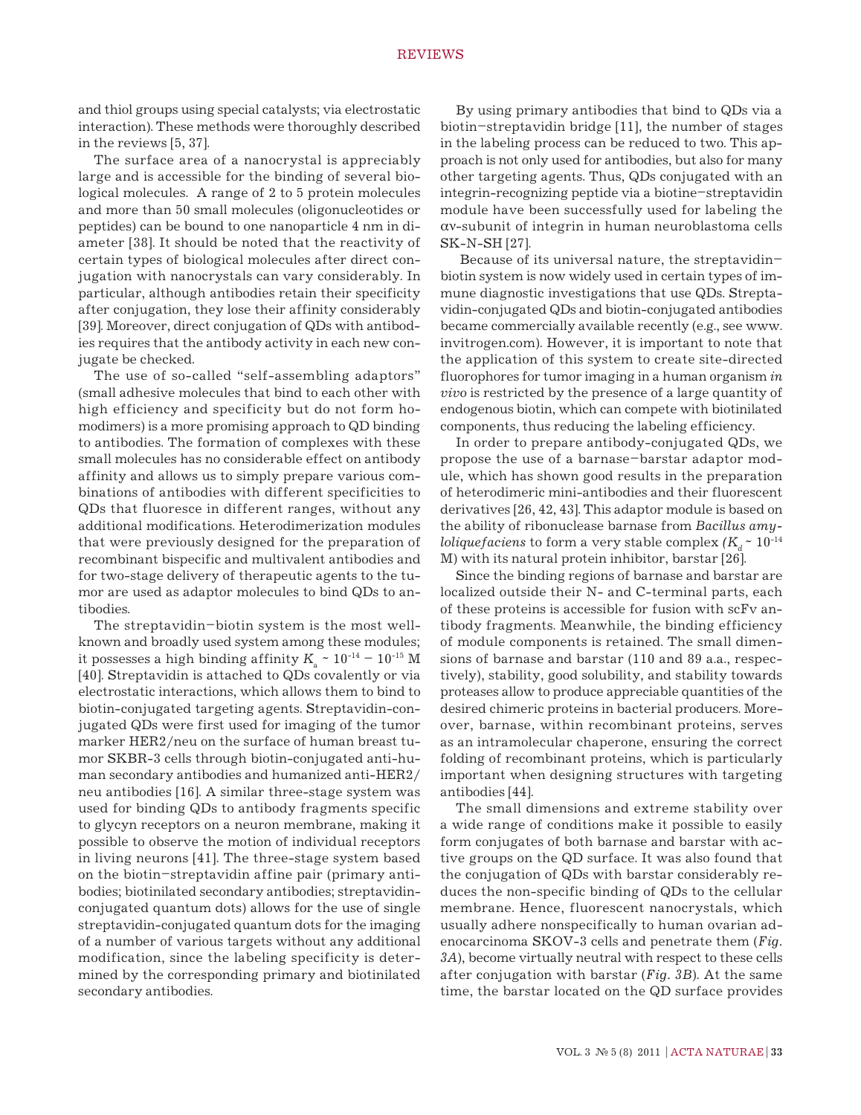and thiol groups using special catalysts; via electrostatic interaction). These methods were thoroughly described in the reviews [5, 37].

The surface area of a nanocrystal is appreciably large and is accessible for the binding of several biological molecules. A range of 2 to 5 protein molecules and more than 50 small molecules (oligonucleotides or peptides) can be bound to one nanoparticle 4 nm in diameter [38]. It should be noted that the reactivity of certain types of biological molecules after direct conjugation with nanocrystals can vary considerably. In particular, although antibodies retain their specificity after conjugation, they lose their affinity considerably [39]. Moreover, direct conjugation of QDs with antibodies requires that the antibody activity in each new conjugate be checked.

The use of so-called "self-assembling adaptors" (small adhesive molecules that bind to each other with high efficiency and specificity but do not form homodimers) is a more promising approach to QD binding to antibodies. The formation of complexes with these small molecules has no considerable effect on antibody affinity and allows us to simply prepare various combinations of antibodies with different specificities to QDs that fluoresce in different ranges, without any additional modifications. Heterodimerization modules that were previously designed for the preparation of recombinant bispecific and multivalent antibodies and for two-stage delivery of therapeutic agents to the tumor are used as adaptor molecules to bind QDs to antibodies.

The streptavidin–biotin system is the most wellknown and broadly used system among these modules; it possesses a high binding affinity  $K_{\rm a} \sim 10^{-14} - 10^{-15}$  M [40]. Streptavidin is attached to QDs covalently or via electrostatic interactions, which allows them to bind to biotin-conjugated targeting agents. Streptavidin-conjugated QDs were first used for imaging of the tumor marker HER2/neu on the surface of human breast tumor SKBR-3 cells through biotin-conjugated anti-human secondary antibodies and humanized anti-HER2/ neu antibodies [16]. A similar three-stage system was used for binding QDs to antibody fragments specific to glycyn receptors on a neuron membrane, making it possible to observe the motion of individual receptors in living neurons [41]. The three-stage system based on the biotin–streptavidin affine pair (primary antibodies; biotinilated secondary antibodies; streptavidinconjugated quantum dots) allows for the use of single streptavidin-conjugated quantum dots for the imaging of a number of various targets without any additional modification, since the labeling specificity is determined by the corresponding primary and biotinilated secondary antibodies.

By using primary antibodies that bind to QDs via a biotin–streptavidin bridge [11], the number of stages in the labeling process can be reduced to two. This approach is not only used for antibodies, but also for many other targeting agents. Thus, QDs conjugated with an integrin-recognizing peptide via a biotine–streptavidin module have been successfully used for labeling the αν-subunit of integrin in human neuroblastoma cells SK-N-SH [27].

 Because of its universal nature, the streptavidin– biotin system is now widely used in certain types of immune diagnostic investigations that use QDs. Streptavidin-conjugated QDs and biotin-conjugated antibodies became commercially available recently (e.g., see www. invitrogen.com). However, it is important to note that the application of this system to create site-directed fluorophores for tumor imaging in a human organism *in vivo* is restricted by the presence of a large quantity of endogenous biotin, which can compete with biotinilated components, thus reducing the labeling efficiency.

In order to prepare antibody-conjugated QDs, we propose the use of a barnase–barstar adaptor module, which has shown good results in the preparation of heterodimeric mini-antibodies and their fluorescent derivatives [26, 42, 43]. This adaptor module is based on the ability of ribonuclease barnase from *Bacillus amyloliquefaciens* to form a very stable complex  $(K_a \sim 10^{-14}$ М) with its natural protein inhibitor, barstar [26].

Since the binding regions of barnase and barstar are localized outside their N- and C-terminal parts, each of these proteins is accessible for fusion with scFv antibody fragments. Meanwhile, the binding efficiency of module components is retained. The small dimensions of barnase and barstar (110 and 89 a.a., respectively), stability, good solubility, and stability towards proteases allow to produce appreciable quantities of the desired chimeric proteins in bacterial producers. Moreover, barnase, within recombinant proteins, serves as an intramolecular chaperone, ensuring the correct folding of recombinant proteins, which is particularly important when designing structures with targeting antibodies [44].

The small dimensions and extreme stability over a wide range of conditions make it possible to easily form conjugates of both barnase and barstar with active groups on the QD surface. It was also found that the conjugation of QDs with barstar considerably reduces the non-specific binding of QDs to the cellular membrane. Hence, fluorescent nanocrystals, which usually adhere nonspecifically to human ovarian adenocarcinoma SKOV-3 cells and penetrate them (*Fig. 3A*), become virtually neutral with respect to these cells after conjugation with barstar (*Fig. 3B*). At the same time, the barstar located on the QD surface provides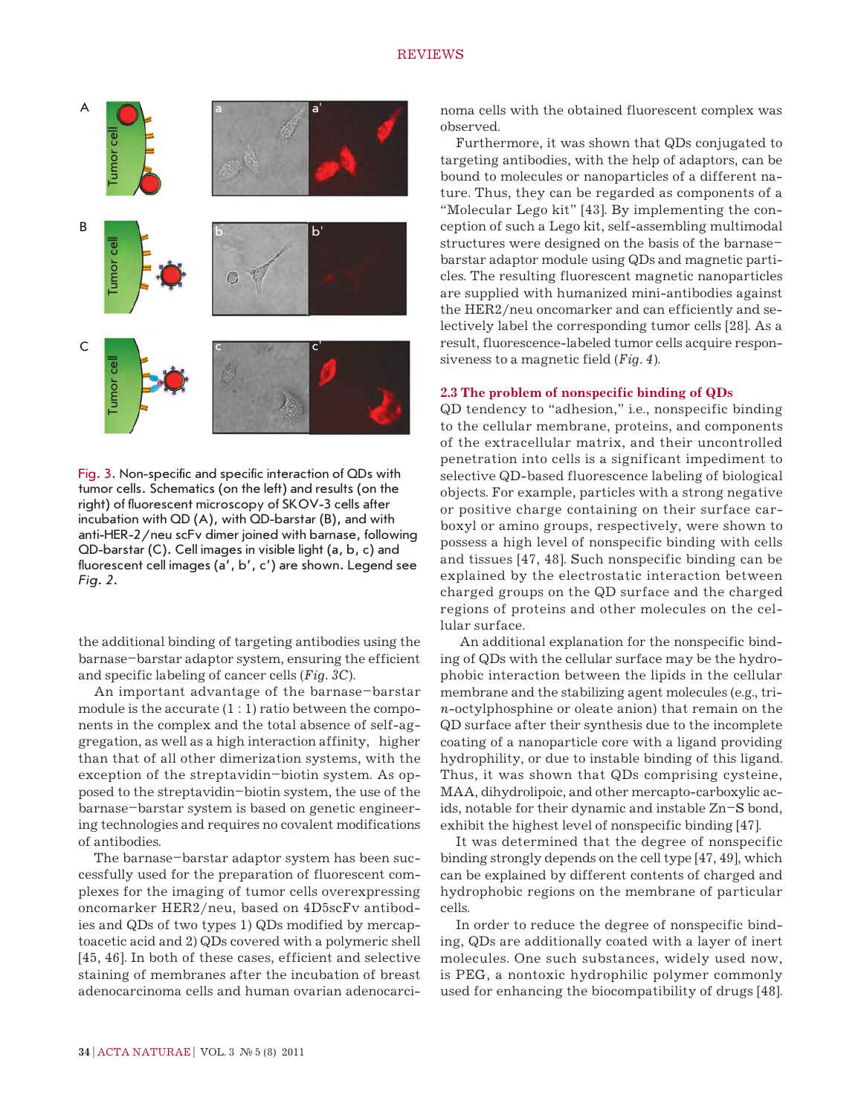

Fig. 3. Non-specific and specific interaction of QDs with tumor cells. Schematics (on the left) and results (on the right) of fluorescent microscopy of SKOV-3 cells after incubation with QD (А), with QD-barstar (B), and with anti-HER-2/neu scFv dimer joined with barnase, following QD-barstar (C). Cell images in visible light (a, b, c) and fluorescent cell images (a', b', c') are shown. Legend see *Fig. 2*.

the additional binding of targeting antibodies using the barnase–barstar adaptor system, ensuring the efficient and specific labeling of cancer cells (*Fig. 3C*).

An important advantage of the barnase–barstar module is the accurate  $(1:1)$  ratio between the components in the complex and the total absence of self-aggregation, as well as a high interaction affinity, higher than that of all other dimerization systems, with the exception of the streptavidin–biotin system. As opposed to the streptavidin–biotin system, the use of the barnase–barstar system is based on genetic engineering technologies and requires no covalent modifications of antibodies.

The barnase–barstar adaptor system has been successfully used for the preparation of fluorescent complexes for the imaging of tumor cells overexpressing oncomarker HER2/neu, based on 4D5scFv antibodies and QDs of two types 1) QDs modified by mercaptoacetic acid and 2) QDs covered with a polymeric shell [45, 46]. In both of these cases, efficient and selective staining of membranes after the incubation of breast adenocarcinoma cells and human ovarian adenocarcinoma cells with the obtained fluorescent complex was observed.

Furthermore, it was shown that QDs conjugated to targeting antibodies, with the help of adaptors, can be bound to molecules or nanoparticles of a different nature. Thus, they can be regarded as components of a "Molecular Lego kit" [43]. By implementing the conception of such a Lego kit, self-assembling multimodal structures were designed on the basis of the barnasebarstar adaptor module using QDs and magnetic particles. The resulting fluorescent magnetic nanoparticles are supplied with humanized mini-antibodies against the HER2/neu oncomarker and can efficiently and selectively label the corresponding tumor cells [28]. As a result, fluorescence-labeled tumor cells acquire responsiveness to a magnetic field (*Fig. 4*).

## **2.3 The problem of nonspecific binding of QDs**

QD tendency to "adhesion," i.e., nonspecific binding to the cellular membrane, proteins, and components of the extracellular matrix, and their uncontrolled penetration into cells is a significant impediment to selective QD-based fluorescence labeling of biological objects. For example, particles with a strong negative or positive charge containing on their surface carboxyl or amino groups, respectively, were shown to possess a high level of nonspecific binding with cells and tissues [47, 48]. Such nonspecific binding can be explained by the electrostatic interaction between charged groups on the QD surface and the charged regions of proteins and other molecules on the cellular surface.

 An additional explanation for the nonspecific binding of QDs with the cellular surface may be the hydrophobic interaction between the lipids in the cellular membrane and the stabilizing agent molecules (e.g., tri*n*-octylphosphine or oleate anion) that remain on the QD surface after their synthesis due to the incomplete coating of a nanoparticle core with a ligand providing hydrophility, or due to instable binding of this ligand. Thus, it was shown that QDs comprising cysteine, MAA, dihydrolipoic, and other mercapto-carboxylic acids, notable for their dynamic and instable Zn–S bond, exhibit the highest level of nonspecific binding [47].

It was determined that the degree of nonspecific binding strongly depends on the cell type [47, 49], which can be explained by different contents of charged and hydrophobic regions on the membrane of particular cells.

In order to reduce the degree of nonspecific binding, QDs are additionally coated with a layer of inert molecules. One such substances, widely used now, is PEG, a nontoxic hydrophilic polymer commonly used for enhancing the biocompatibility of drugs [48].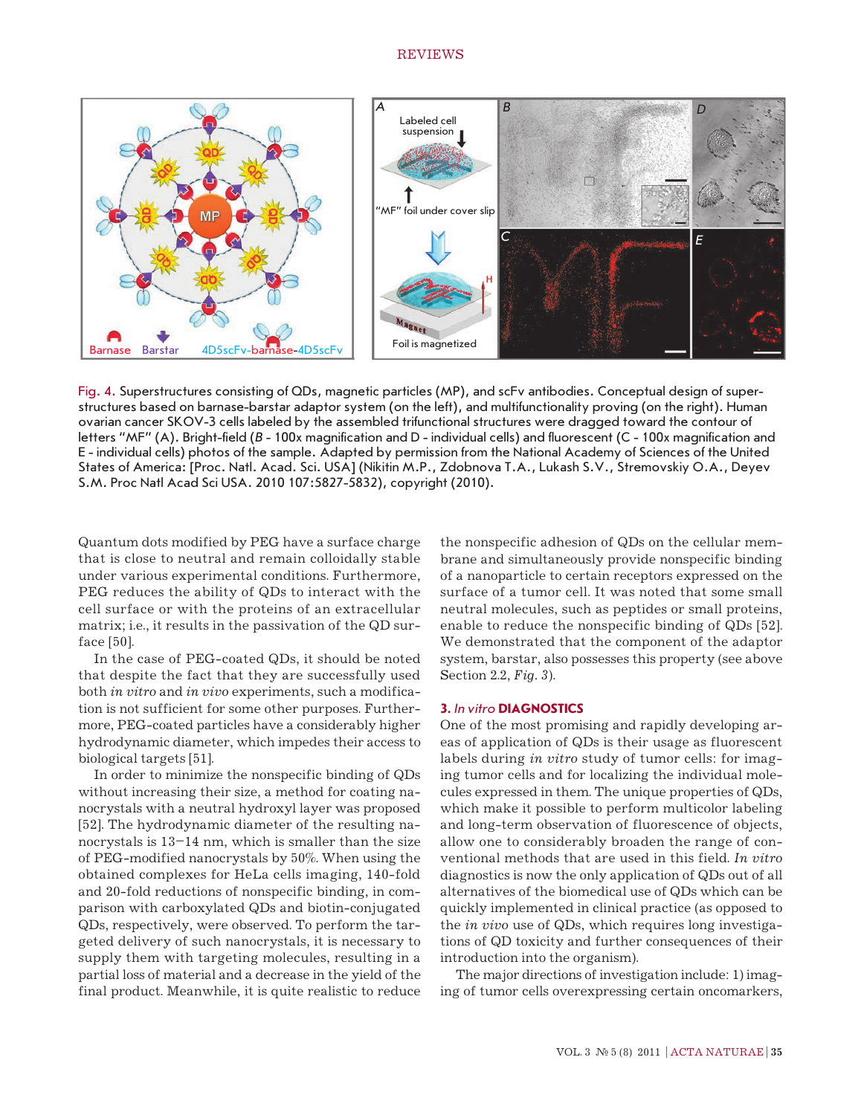

Fig. 4. Superstructures consisting of QDs, magnetic particles (MP), and scFv antibodies. Conceptual design of superstructures based on barnase-barstar adaptor system (on the left), and multifunctionality proving (on the right). Human ovarian cancer SKOV-3 cells labeled by the assembled trifunctional structures were dragged toward the contour of letters "MF" (A). Bright-field (B - 100x magnification and D - individual cells) and fluorescent (C - 100x magnification and E - individual cells) photos of the sample. Adapted by permission from the National Academy of Sciences of the United States of America: [Proc. Natl. Acad. Sci. USA] (Nikitin M.P., Zdobnova T.A., Lukash S.V., Stremovskiy O.A., Deyev S.M. Proc Natl Acad Sci USA. 2010 107:5827-5832), copyright (2010).

Quantum dots modified by PEG have a surface charge that is close to neutral and remain colloidally stable under various experimental conditions. Furthermore, PEG reduces the ability of QDs to interact with the cell surface or with the proteins of an extracellular matrix; i.e., it results in the passivation of the QD surface [50].

In the case of PEG-coated QDs, it should be noted that despite the fact that they are successfully used both *in vitro* and *in vivo* experiments, such a modification is not sufficient for some other purposes. Furthermore, PEG-coated particles have a considerably higher hydrodynamic diameter, which impedes their access to biological targets [51].

In order to minimize the nonspecific binding of QDs without increasing their size, a method for coating nanocrystals with a neutral hydroxyl layer was proposed [52]. The hydrodynamic diameter of the resulting nanocrystals is 13–14 nm, which is smaller than the size of PEG-modified nanocrystals by 50%. When using the obtained complexes for HeLa cells imaging, 140-fold and 20-fold reductions of nonspecific binding, in comparison with carboxylated QDs and biotin-conjugated QDs, respectively, were observed. To perform the targeted delivery of such nanocrystals, it is necessary to supply them with targeting molecules, resulting in a partial loss of material and a decrease in the yield of the final product. Meanwhile, it is quite realistic to reduce the nonspecific adhesion of QDs on the cellular membrane and simultaneously provide nonspecific binding of a nanoparticle to certain receptors expressed on the surface of a tumor cell. It was noted that some small neutral molecules, such as peptides or small proteins, enable to reduce the nonspecific binding of QDs [52]. We demonstrated that the component of the adaptor system, barstar, also possesses this property (see above Section 2.2, *Fig. 3*).

## **3.** *In vitro* **Diagnostics**

One of the most promising and rapidly developing areas of application of QDs is their usage as fluorescent labels during *in vitro* study of tumor cells: for imaging tumor cells and for localizing the individual molecules expressed in them. The unique properties of QDs, which make it possible to perform multicolor labeling and long-term observation of fluorescence of objects, allow one to considerably broaden the range of conventional methods that are used in this field. *In vitro* diagnostics is now the only application of QDs out of all alternatives of the biomedical use of QDs which can be quickly implemented in clinical practice (as opposed to the *in vivo* use of QDs, which requires long investigations of QD toxicity and further consequences of their introduction into the organism).

The major directions of investigation include: 1) imaging of tumor cells overexpressing certain oncomarkers,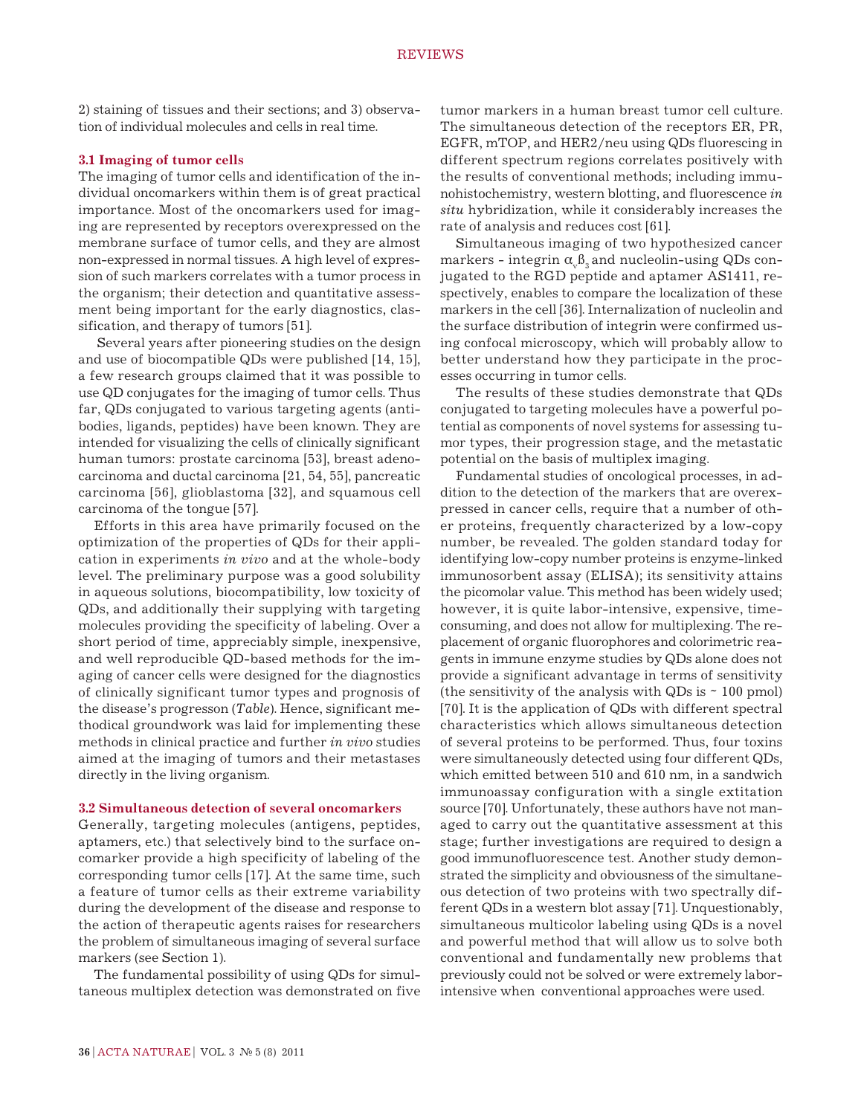2) staining of tissues and their sections; and 3) observation of individual molecules and cells in real time.

## **3.1 Imaging of tumor cells**

The imaging of tumor cells and identification of the individual oncomarkers within them is of great practical importance. Most of the oncomarkers used for imaging are represented by receptors overexpressed on the membrane surface of tumor cells, and they are almost non-expressed in normal tissues. A high level of expression of such markers correlates with a tumor process in the organism; their detection and quantitative assessment being important for the early diagnostics, classification, and therapy of tumors [51].

 Several years after pioneering studies on the design and use of biocompatible QDs were published [14, 15], a few research groups claimed that it was possible to use QD conjugates for the imaging of tumor cells. Thus far, QDs conjugated to various targeting agents (antibodies, ligands, peptides) have been known. They are intended for visualizing the cells of clinically significant human tumors: prostate carcinoma [53], breast adenocarcinoma and ductal carcinoma [21, 54, 55], pancreatic carcinoma [56], glioblastoma [32], and squamous cell carcinoma of the tongue [57].

Efforts in this area have primarily focused on the optimization of the properties of QDs for their application in experiments *in vivo* and at the whole-body level. The preliminary purpose was a good solubility in aqueous solutions, biocompatibility, low toxicity of QDs, and additionally their supplying with targeting molecules providing the specificity of labeling. Over a short period of time, appreciably simple, inexpensive, and well reproducible QD-based methods for the imaging of cancer cells were designed for the diagnostics of clinically significant tumor types and prognosis of the disease's progresson (*Table*). Hence, significant methodical groundwork was laid for implementing these methods in clinical practice and further *in vivo* studies aimed at the imaging of tumors and their metastases directly in the living organism.

#### **3.2 Simultaneous detection of several oncomarkers**

Generally, targeting molecules (antigens, peptides, aptamers, etc.) that selectively bind to the surface oncomarker provide a high specificity of labeling of the corresponding tumor cells [17]. At the same time, such a feature of tumor cells as their extreme variability during the development of the disease and response to the action of therapeutic agents raises for researchers the problem of simultaneous imaging of several surface markers (see Section 1).

The fundamental possibility of using QDs for simultaneous multiplex detection was demonstrated on five

tumor markers in a human breast tumor cell culture. The simultaneous detection of the receptors ER, PR, EGFR, mTOP, and HER2/neu using QDs fluorescing in different spectrum regions correlates positively with the results of conventional methods; including immunohistochemistry, western blotting, and fluorescence *in situ* hybridization, while it considerably increases the rate of analysis and reduces cost [61].

Simultaneous imaging of two hypothesized cancer markers - integrin  $\alpha$ ,  $\beta$ , and nucleolin-using QDs conjugated to the RGD peptide and aptamer AS1411, respectively, enables to compare the localization of these markers in the cell [36]. Internalization of nucleolin and the surface distribution of integrin were confirmed using confocal microscopy, which will probably allow to better understand how they participate in the processes occurring in tumor cells.

The results of these studies demonstrate that QDs conjugated to targeting molecules have a powerful potential as components of novel systems for assessing tumor types, their progression stage, and the metastatic potential on the basis of multiplex imaging.

Fundamental studies of oncological processes, in addition to the detection of the markers that are overexpressed in cancer cells, require that a number of other proteins, frequently characterized by a low-copy number, be revealed. The golden standard today for identifying low-copy number proteins is enzyme-linked immunosorbent assay (ELISA); its sensitivity attains the picomolar value. This method has been widely used; however, it is quite labor-intensive, expensive, timeconsuming, and does not allow for multiplexing. The replacement of organic fluorophores and colorimetric reagents in immune enzyme studies by QDs alone does not provide a significant advantage in terms of sensitivity (the sensitivity of the analysis with QDs is  $\sim$  100 pmol) [70]. It is the application of QDs with different spectral characteristics which allows simultaneous detection of several proteins to be performed. Thus, four toxins were simultaneously detected using four different QDs, which emitted between 510 and 610 nm, in a sandwich immunoassay configuration with a single extitation source [70]. Unfortunately, these authors have not managed to carry out the quantitative assessment at this stage; further investigations are required to design a good immunofluorescence test. Another study demonstrated the simplicity and obviousness of the simultaneous detection of two proteins with two spectrally different QDs in a western blot assay [71]. Unquestionably, simultaneous multicolor labeling using QDs is a novel and powerful method that will allow us to solve both conventional and fundamentally new problems that previously could not be solved or were extremely laborintensive when conventional approaches were used.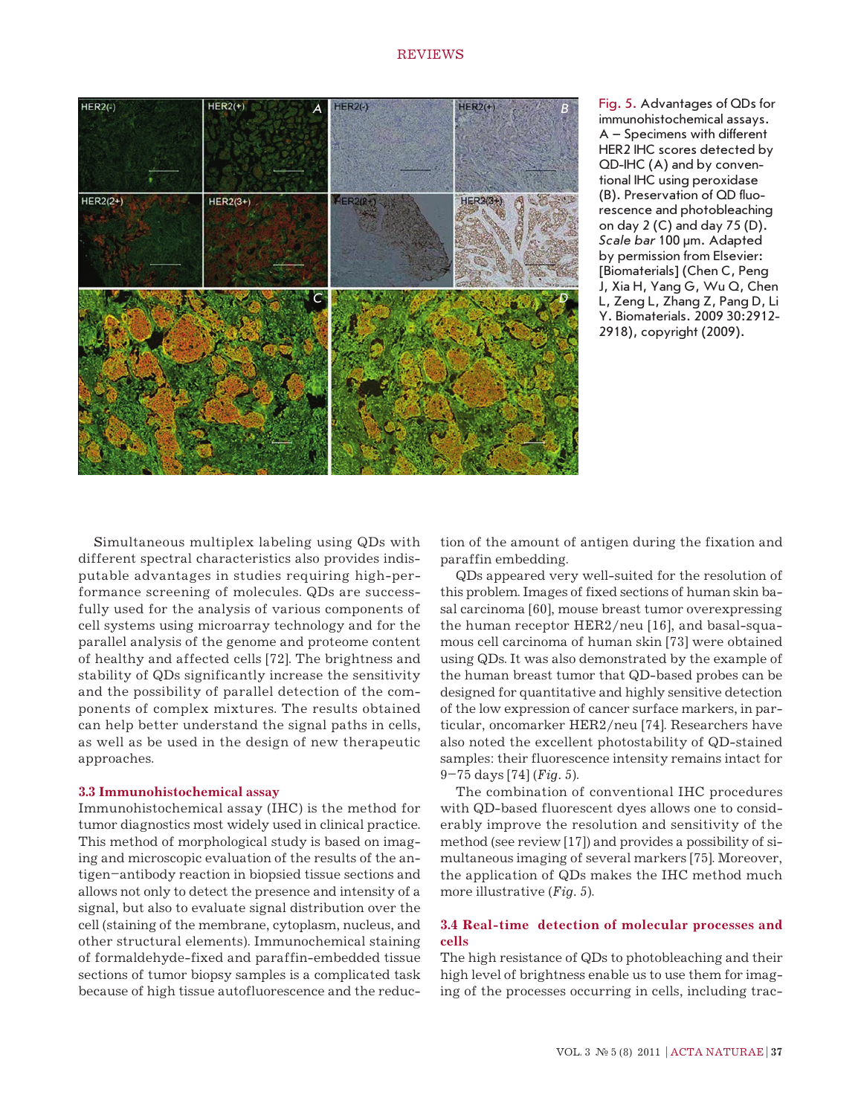

*B* Fig. 5. Advantages of QDs for immunohistochemical assays. A – Specimens with different HER2 IHC scores detected by QD-IHC (A) and by conventional IHC using peroxidase (B). Preservation of QD fluorescence and photobleaching on day 2 (C) and day 75 (D). *Scale bar* 100 µm. Adapted by permission from Elsevier: [Biomaterials] (Chen C, Peng J, Xia H, Yang G, Wu Q, Chen L, Zeng L, Zhang Z, Pang D, Li Y. Biomaterials. 2009 30:2912- 2918), copyright (2009).

Simultaneous multiplex labeling using QDs with different spectral characteristics also provides indisputable advantages in studies requiring high-performance screening of molecules. QDs are successfully used for the analysis of various components of cell systems using microarray technology and for the parallel analysis of the genome and proteome content of healthy and affected cells [72]. The brightness and stability of QDs significantly increase the sensitivity and the possibility of parallel detection of the components of complex mixtures. The results obtained can help better understand the signal paths in cells, as well as be used in the design of new therapeutic approaches.

# **3.3 Immunohistochemical assay**

Immunohistochemical assay (IHC) is the method for tumor diagnostics most widely used in clinical practice. This method of morphological study is based on imaging and microscopic evaluation of the results of the antigen–antibody reaction in biopsied tissue sections and allows not only to detect the presence and intensity of a signal, but also to evaluate signal distribution over the cell (staining of the membrane, cytoplasm, nucleus, and other structural elements). Immunochemical staining of formaldehyde-fixed and paraffin-embedded tissue sections of tumor biopsy samples is a complicated task because of high tissue autofluorescence and the reduction of the amount of antigen during the fixation and paraffin embedding.

QDs appeared very well-suited for the resolution of this problem. Images of fixed sections of human skin basal carcinoma [60], mouse breast tumor overexpressing the human receptor HER2/neu [16], and basal-squamous cell carcinoma of human skin [73] were obtained using QDs. It was also demonstrated by the example of the human breast tumor that QD-based probes can be designed for quantitative and highly sensitive detection of the low expression of cancer surface markers, in particular, oncomarker HER2/neu [74]. Researchers have also noted the excellent photostability of QD-stained samples: their fluorescence intensity remains intact for 9–75 days [74] (*Fig. 5*).

The combination of conventional IHC procedures with QD-based fluorescent dyes allows one to considerably improve the resolution and sensitivity of the method (see review [17]) and provides a possibility of simultaneous imaging of several markers [75]. Moreover, the application of QDs makes the IHC method much more illustrative (*Fig. 5*).

# **3.4 Real-time detection of molecular processes and cells**

The high resistance of QDs to photobleaching and their high level of brightness enable us to use them for imaging of the processes occurring in cells, including trac-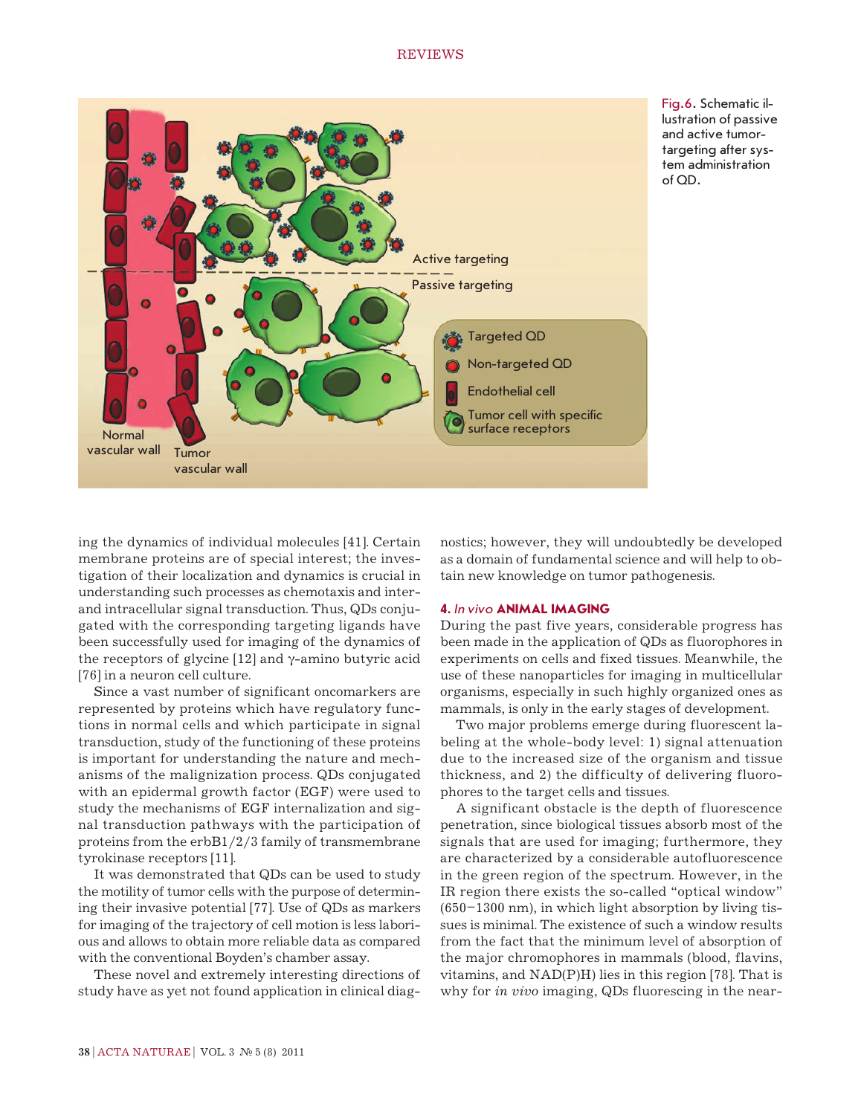## REVIEWS



Fig.6. Schematic illustration of passive and active tumortargeting after system administration of QD.

ing the dynamics of individual molecules [41]. Certain membrane proteins are of special interest; the investigation of their localization and dynamics is crucial in understanding such processes as chemotaxis and interand intracellular signal transduction. Thus, QDs conjugated with the corresponding targeting ligands have been successfully used for imaging of the dynamics of the receptors of glycine [12] and γ-amino butyric acid [76] in a neuron cell culture.

Since a vast number of significant oncomarkers are represented by proteins which have regulatory functions in normal cells and which participate in signal transduction, study of the functioning of these proteins is important for understanding the nature and mechanisms of the malignization process. QDs conjugated with an epidermal growth factor (EGF) were used to study the mechanisms of EGF internalization and signal transduction pathways with the participation of proteins from the erbB1/2/3 family of transmembrane tyrokinase receptors [11].

It was demonstrated that QDs can be used to study the motility of tumor cells with the purpose of determining their invasive potential [77]. Use of QDs as markers for imaging of the trajectory of cell motion is less laborious and allows to obtain more reliable data as compared with the conventional Boyden's chamber assay.

These novel and extremely interesting directions of study have as yet not found application in clinical diagnostics; however, they will undoubtedly be developed as a domain of fundamental science and will help to obtain new knowledge on tumor pathogenesis.

## **4.** *In vivo* **animal imaging**

During the past five years, considerable progress has been made in the application of QDs as fluorophores in experiments on cells and fixed tissues. Meanwhile, the use of these nanoparticles for imaging in multicellular organisms, especially in such highly organized ones as mammals, is only in the early stages of development.

Two major problems emerge during fluorescent labeling at the whole-body level: 1) signal attenuation due to the increased size of the organism and tissue thickness, and 2) the difficulty of delivering fluorophores to the target cells and tissues.

A significant obstacle is the depth of fluorescence penetration, since biological tissues absorb most of the signals that are used for imaging; furthermore, they are characterized by a considerable autofluorescence in the green region of the spectrum. However, in the IR region there exists the so-called "optical window"  $(650-1300)$  nm), in which light absorption by living tissues is minimal. The existence of such a window results from the fact that the minimum level of absorption of the major chromophores in mammals (blood, flavins, vitamins, and NAD(P)H) lies in this region [78]. That is why for *in vivo* imaging, QDs fluorescing in the near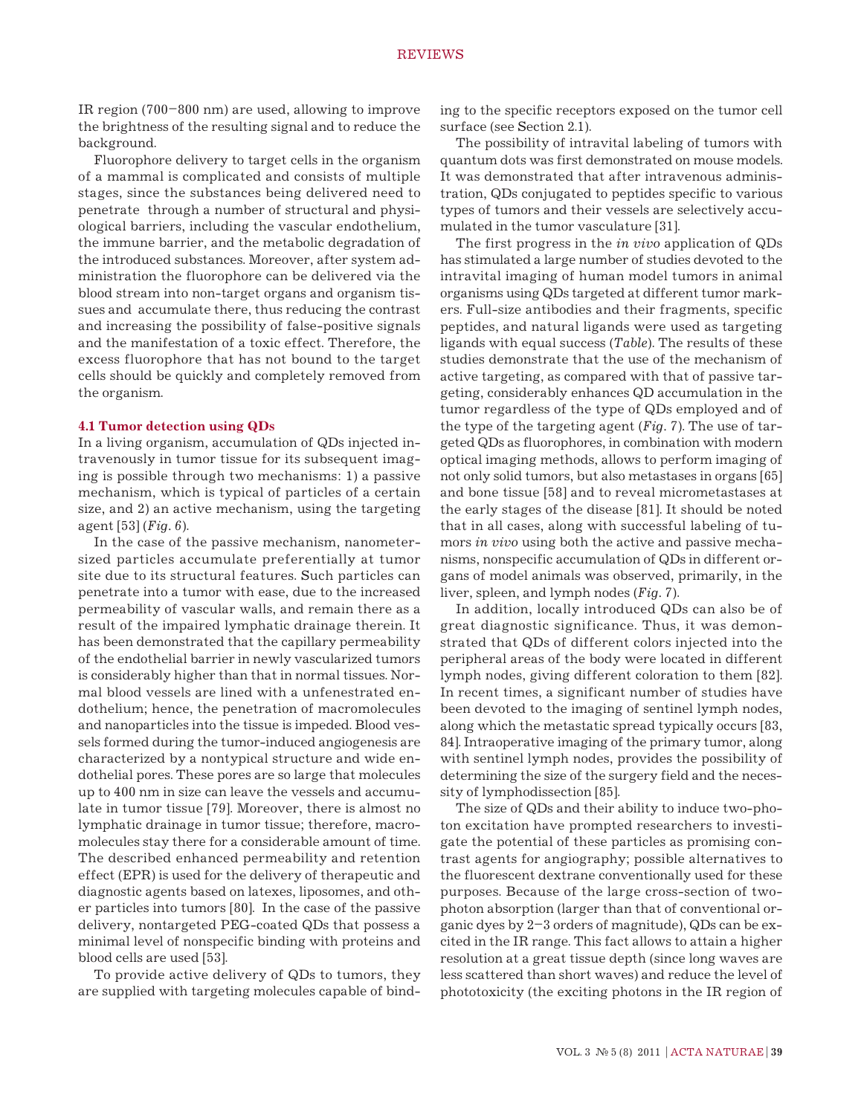IR region (700–800 nm) are used, allowing to improve the brightness of the resulting signal and to reduce the background.

Fluorophore delivery to target cells in the organism of a mammal is complicated and consists of multiple stages, since the substances being delivered need to penetrate through a number of structural and physiological barriers, including the vascular endothelium, the immune barrier, and the metabolic degradation of the introduced substances. Moreover, after system administration the fluorophore can be delivered via the blood stream into non-target organs and organism tissues and accumulate there, thus reducing the contrast and increasing the possibility of false-positive signals and the manifestation of a toxic effect. Therefore, the excess fluorophore that has not bound to the target cells should be quickly and completely removed from the organism.

## **4.1 Tumor detection using QDs**

In a living organism, accumulation of QDs injected intravenously in tumor tissue for its subsequent imaging is possible through two mechanisms: 1) a passive mechanism, which is typical of particles of a certain size, and 2) an active mechanism, using the targeting agent [53] (*Fig. 6*).

In the case of the passive mechanism, nanometersized particles accumulate preferentially at tumor site due to its structural features. Such particles can penetrate into a tumor with ease, due to the increased permeability of vascular walls, and remain there as a result of the impaired lymphatic drainage therein. It has been demonstrated that the capillary permeability of the endothelial barrier in newly vascularized tumors is considerably higher than that in normal tissues. Normal blood vessels are lined with a unfenestrated endothelium; hence, the penetration of macromolecules and nanoparticles into the tissue is impeded. Blood vessels formed during the tumor-induced angiogenesis are characterized by a nontypical structure and wide endothelial pores. These pores are so large that molecules up to 400 nm in size can leave the vessels and accumulate in tumor tissue [79]. Moreover, there is almost no lymphatic drainage in tumor tissue; therefore, macromolecules stay there for a considerable amount of time. The described enhanced permeability and retention effect (EPR) is used for the delivery of therapeutic and diagnostic agents based on latexes, liposomes, and other particles into tumors [80]. In the case of the passive delivery, nontargeted PEG-coated QDs that possess a minimal level of nonspecific binding with proteins and blood cells are used [53].

To provide active delivery of QDs to tumors, they are supplied with targeting molecules capable of binding to the specific receptors exposed on the tumor cell surface (see Section 2.1).

The possibility of intravital labeling of tumors with quantum dots was first demonstrated on mouse models. It was demonstrated that after intravenous administration, QDs conjugated to peptides specific to various types of tumors and their vessels are selectively accumulated in the tumor vasculature [31].

The first progress in the *in vivo* application of QDs has stimulated a large number of studies devoted to the intravital imaging of human model tumors in animal organisms using QDs targeted at different tumor markers. Full-size antibodies and their fragments, specific peptides, and natural ligands were used as targeting ligands with equal success (*Table*). The results of these studies demonstrate that the use of the mechanism of active targeting, as compared with that of passive targeting, considerably enhances QD accumulation in the tumor regardless of the type of QDs employed and of the type of the targeting agent (*Fig. 7*). The use of targeted QDs as fluorophores, in combination with modern optical imaging methods, allows to perform imaging of not only solid tumors, but also metastases in organs [65] and bone tissue [58] and to reveal micrometastases at the early stages of the disease [81]. It should be noted that in all cases, along with successful labeling of tumors *in vivo* using both the active and passive mechanisms, nonspecific accumulation of QDs in different organs of model animals was observed, primarily, in the liver, spleen, and lymph nodes (*Fig. 7*).

In addition, locally introduced QDs can also be of great diagnostic significance. Thus, it was demonstrated that QDs of different colors injected into the peripheral areas of the body were located in different lymph nodes, giving different coloration to them [82]. In recent times, a significant number of studies have been devoted to the imaging of sentinel lymph nodes, along which the metastatic spread typically occurs [83, 84]. Intraoperative imaging of the primary tumor, along with sentinel lymph nodes, provides the possibility of determining the size of the surgery field and the necessity of lymphodissection [85].

The size of QDs and their ability to induce two-photon excitation have prompted researchers to investigate the potential of these particles as promising contrast agents for angiography; possible alternatives to the fluorescent dextrane conventionally used for these purposes. Because of the large cross-section of twophoton absorption (larger than that of conventional organic dyes by 2–3 orders of magnitude), QDs can be excited in the IR range. This fact allows to attain a higher resolution at a great tissue depth (since long waves are less scattered than short waves) and reduce the level of phototoxicity (the exciting photons in the IR region of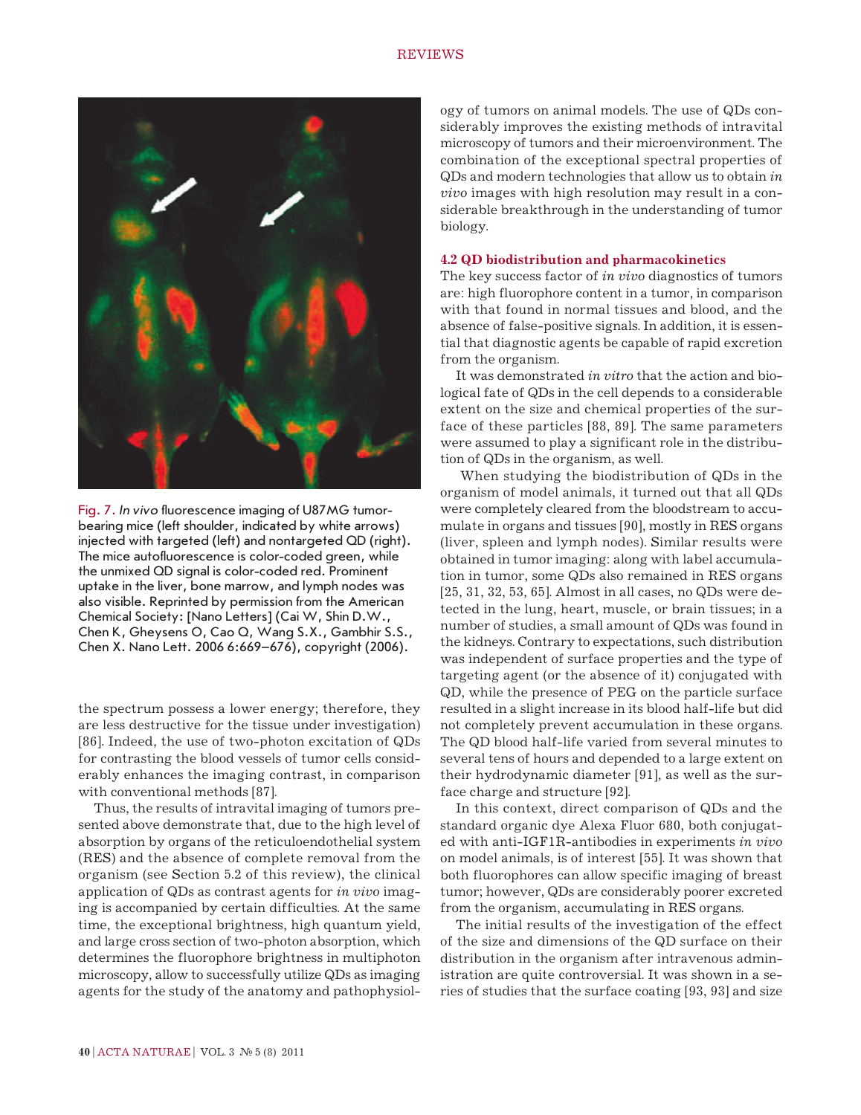

Fig. 7. *In vivo* fluorescence imaging of U87MG tumorbearing mice (left shoulder, indicated by white arrows) injected with targeted (left) and nontargeted QD (right). The mice autofluorescence is color-coded green, while the unmixed QD signal is color-coded red. Prominent uptake in the liver, bone marrow, and lymph nodes was also visible. Reprinted by permission from the American Chemical Society: [Nano Letters] (Cai W, Shin D.W., Chen K, Gheysens O, Cao Q, Wang S.X., Gambhir S.S., Chen X. Nano Lett. 2006 6:669–676), copyright (2006).

the spectrum possess a lower energy; therefore, they are less destructive for the tissue under investigation) [86]. Indeed, the use of two-photon excitation of QDs for contrasting the blood vessels of tumor cells considerably enhances the imaging contrast, in comparison with conventional methods [87].

Thus, the results of intravital imaging of tumors presented above demonstrate that, due to the high level of absorption by organs of the reticuloendothelial system (RES) and the absence of complete removal from the organism (see Section 5.2 of this review), the clinical application of QDs as contrast agents for *in vivo* imaging is accompanied by certain difficulties. At the same time, the exceptional brightness, high quantum yield, and large cross section of two-photon absorption, which determines the fluorophore brightness in multiphoton microscopy, allow to successfully utilize QDs as imaging agents for the study of the anatomy and pathophysiology of tumors on animal models. The use of QDs considerably improves the existing methods of intravital microscopy of tumors and their microenvironment. The combination of the exceptional spectral properties of QDs and modern technologies that allow us to obtain *in vivo* images with high resolution may result in a considerable breakthrough in the understanding of tumor biology.

# **4.2 QD biodistribution and pharmacokinetics**

The key success factor of *in vivo* diagnostics of tumors are: high fluorophore content in a tumor, in comparison with that found in normal tissues and blood, and the absence of false-positive signals. In addition, it is essential that diagnostic agents be capable of rapid excretion from the organism.

It was demonstrated *in vitro* that the action and biological fate of QDs in the cell depends to a considerable extent on the size and chemical properties of the surface of these particles [88, 89]. The same parameters were assumed to play a significant role in the distribution of QDs in the organism, as well.

 When studying the biodistribution of QDs in the organism of model animals, it turned out that all QDs were completely cleared from the bloodstream to accumulate in organs and tissues [90], mostly in RES organs (liver, spleen and lymph nodes). Similar results were obtained in tumor imaging: along with label accumulation in tumor, some QDs also remained in RES organs [25, 31, 32, 53, 65]. Almost in all cases, no QDs were detected in the lung, heart, muscle, or brain tissues; in a number of studies, a small amount of QDs was found in the kidneys. Contrary to expectations, such distribution was independent of surface properties and the type of targeting agent (or the absence of it) conjugated with QD, while the presence of PEG on the particle surface resulted in a slight increase in its blood half-life but did not completely prevent accumulation in these organs. The QD blood half-life varied from several minutes to several tens of hours and depended to a large extent on their hydrodynamic diameter [91], as well as the surface charge and structure [92].

In this context, direct comparison of QDs and the standard organic dye Alexa Fluor 680, both conjugated with anti-IGF1R-antibodies in experiments *in vivo* on model animals, is of interest [55]. It was shown that both fluorophores can allow specific imaging of breast tumor; however, QDs are considerably poorer excreted from the organism, accumulating in RES organs.

The initial results of the investigation of the effect of the size and dimensions of the QD surface on their distribution in the organism after intravenous administration are quite controversial. It was shown in a series of studies that the surface coating [93, 93] and size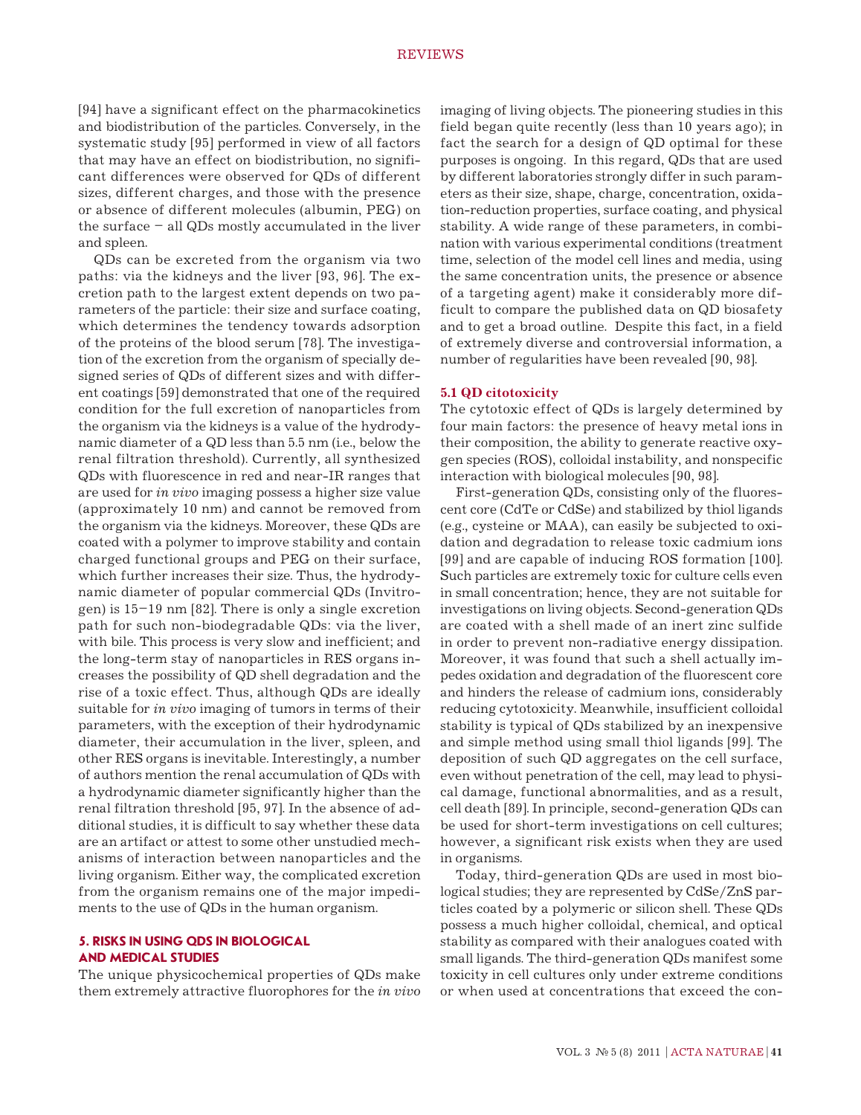## REVIEWS

[94] have a significant effect on the pharmacokinetics and biodistribution of the particles. Conversely, in the systematic study [95] performed in view of all factors that may have an effect on biodistribution, no significant differences were observed for QDs of different sizes, different charges, and those with the presence or absence of different molecules (albumin, PEG) on the surface – all QDs mostly accumulated in the liver and spleen.

QDs can be excreted from the organism via two paths: via the kidneys and the liver [93, 96]. The excretion path to the largest extent depends on two parameters of the particle: their size and surface coating, which determines the tendency towards adsorption of the proteins of the blood serum [78]. The investigation of the excretion from the organism of specially designed series of QDs of different sizes and with different coatings [59] demonstrated that one of the required condition for the full excretion of nanoparticles from the organism via the kidneys is a value of the hydrodynamic diameter of a QD less than 5.5 nm (i.e., below the renal filtration threshold). Currently, all synthesized QDs with fluorescence in red and near-IR ranges that are used for *in vivo* imaging possess a higher size value (approximately 10 nm) and cannot be removed from the organism via the kidneys. Moreover, these QDs are coated with a polymer to improve stability and contain charged functional groups and PEG on their surface, which further increases their size. Thus, the hydrodynamic diameter of popular commercial QDs (Invitrogen) is 15–19 nm [82]. There is only a single excretion path for such non-biodegradable QDs: via the liver, with bile. This process is very slow and inefficient; and the long-term stay of nanoparticles in RES organs increases the possibility of QD shell degradation and the rise of a toxic effect. Thus, although QDs are ideally suitable for *in vivo* imaging of tumors in terms of their parameters, with the exception of their hydrodynamic diameter, their accumulation in the liver, spleen, and other RES organs is inevitable. Interestingly, a number of authors mention the renal accumulation of QDs with a hydrodynamic diameter significantly higher than the renal filtration threshold [95, 97]. In the absence of additional studies, it is difficult to say whether these data are an artifact or attest to some other unstudied mechanisms of interaction between nanoparticles and the living organism. Either way, the complicated excretion from the organism remains one of the major impediments to the use of QDs in the human organism.

# **5. RISKS IN USING QDs IN BIOLOGICAL AND MEDICAL STUDIES**

The unique physicochemical properties of QDs make them extremely attractive fluorophores for the *in vivo*

imaging of living objects. The pioneering studies in this field began quite recently (less than 10 years ago); in fact the search for a design of QD optimal for these purposes is ongoing. In this regard, QDs that are used by different laboratories strongly differ in such parameters as their size, shape, charge, concentration, oxidation-reduction properties, surface coating, and physical stability. A wide range of these parameters, in combination with various experimental conditions (treatment time, selection of the model cell lines and media, using the same concentration units, the presence or absence of a targeting agent) make it considerably more difficult to compare the published data on QD biosafety and to get a broad outline. Despite this fact, in a field of extremely diverse and controversial information, a number of regularities have been revealed [90, 98].

#### **5.1 QD citotoxicity**

The cytotoxic effect of QDs is largely determined by four main factors: the presence of heavy metal ions in their composition, the ability to generate reactive oxygen species (ROS), colloidal instability, and nonspecific interaction with biological molecules [90, 98].

First-generation QDs, consisting only of the fluorescent core (CdTe or CdSe) and stabilized by thiol ligands (e.g., cysteine or MAA), can easily be subjected to oxidation and degradation to release toxic cadmium ions [99] and are capable of inducing ROS formation [100]. Such particles are extremely toxic for culture cells even in small concentration; hence, they are not suitable for investigations on living objects. Second-generation QDs are coated with a shell made of an inert zinc sulfide in order to prevent non-radiative energy dissipation. Moreover, it was found that such a shell actually impedes oxidation and degradation of the fluorescent core and hinders the release of cadmium ions, considerably reducing cytotoxicity. Meanwhile, insufficient colloidal stability is typical of QDs stabilized by an inexpensive and simple method using small thiol ligands [99]. The deposition of such QD aggregates on the cell surface, even without penetration of the cell, may lead to physical damage, functional abnormalities, and as a result, cell death [89]. In principle, second-generation QDs can be used for short-term investigations on cell cultures; however, a significant risk exists when they are used in organisms.

Today, third-generation QDs are used in most biological studies; they are represented by CdSe/ZnS particles coated by a polymeric or silicon shell. These QDs possess a much higher colloidal, chemical, and optical stability as compared with their analogues coated with small ligands. The third-generation QDs manifest some toxicity in cell cultures only under extreme conditions or when used at concentrations that exceed the con-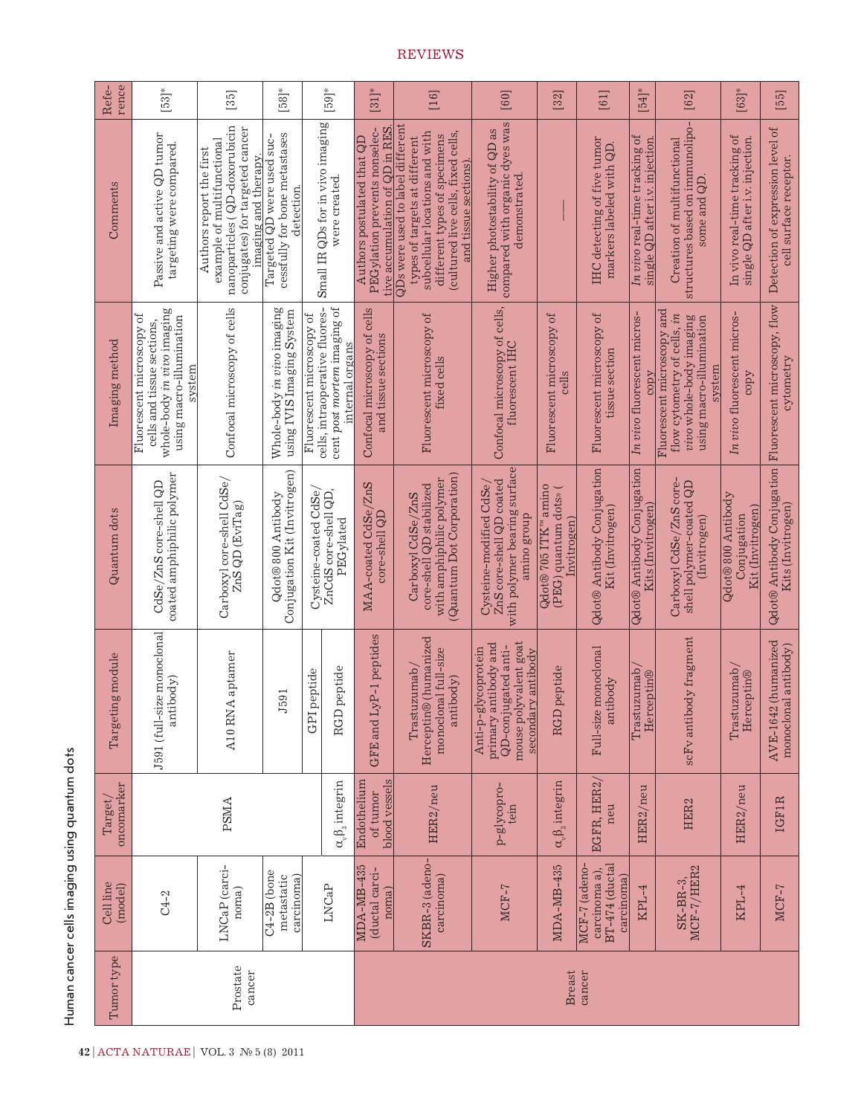Human cancer cells imaging using quantum dots Human cancer cells imaging using quantum dots

| rence<br>Refe-        | $[53]^*$                                                                                                                    | $[35]$                                                                                                                                          | $[58]$ *                                                                 |                                                  | $[59]$ *                                                      |             |                                                 | $[31]^*$                                                        | $[16]$                                                                                                                                                                                           | $[60]$                                                                                            | [32]                                          | $[61]$                                                           | $ 54 $ *                                                          | $[62]$                                                                                                                                    | $[63]$ *                                                        |
|-----------------------|-----------------------------------------------------------------------------------------------------------------------------|-------------------------------------------------------------------------------------------------------------------------------------------------|--------------------------------------------------------------------------|--------------------------------------------------|---------------------------------------------------------------|-------------|-------------------------------------------------|-----------------------------------------------------------------|--------------------------------------------------------------------------------------------------------------------------------------------------------------------------------------------------|---------------------------------------------------------------------------------------------------|-----------------------------------------------|------------------------------------------------------------------|-------------------------------------------------------------------|-------------------------------------------------------------------------------------------------------------------------------------------|-----------------------------------------------------------------|
| Comments              | Passive and active QD tumor<br>targeting were compared.                                                                     | nanoparticles (QD-doxorubicin<br>conjugates) for targeted cancer<br>example of multifunctional<br>Authors report the first<br>maging and therap | cessfully for bone metastases<br>Targeted QD were used suc-<br>detection |                                                  | Small IR QDs for in vivo imaging<br>were created              |             | Authors postulated that QD                      | tive accumulation of QD in RES<br>PEGylation prevents nonselec- | QDs were used to label different<br>subcellular locations and with<br>(cultured live cells, fixed cells<br>different types of specimens<br>types of targets at different<br>and tissue sections) | compared with organic dyes was<br>Higher photostability of QD as<br>demonstrated                  |                                               | IHC detecting of five tumor<br>markers labeled with QD.          | In $vivo$ real-time tracking of<br>single QD after i.v. injection | structures based on immunolipo-<br>Creation of multifunctional<br>some and QD                                                             | In vivo real-time tracking of<br>single QD after i.v. injection |
| Imaging method        | whole-body in vivo imaging<br>Fluorescent microscopy of<br>using macro-illumination<br>cells and tissue sections,<br>system | Confocal microscopy of cells                                                                                                                    | Whole-body <i>in vivo</i> imaging<br>using IVIS Imaging System           | Fluorescent microscopy of                        | cent post mortem imaging of<br>cells, intraoperative fluores- |             | Confocal microscopy of cells<br>internal organs | and tissue sections                                             | Fluorescent microscopy of<br>tixed cells                                                                                                                                                         | Confocal microscopy of cells,<br>fluorescent IHC                                                  | Fluorescent microscopy of<br>cells            | Fluorescent microscopy of<br>tissue section                      | In vivo fluorescent micros-                                       | Fluorescent microscopy and<br>flow cytometry of cells, $\boldsymbol{in}$<br>vivo whole-body imaging<br>using macro-illumination<br>system | In vivo fluorescent micros-<br>copy                             |
| Quantum dots          | coated amphiphilic polymer<br>CdSe/ZnS core-shell QD                                                                        | $\rm Carboxyl$ core-shell $\rm CdSe/$<br>ZnS QD (EviTag)                                                                                        | Conjugation Kit (Invitrogen)<br>Qdot® 800 Antibody                       | $\mathsf{C}$ ysteine-coated $\mathsf{CdSe}_\ell$ | ZnCdS core-shell QD,<br>PEGylated                             |             | /ZnS<br>MAA-coated CdSe/                        | core-shell QL                                                   | (Quantum Dot Corporation)<br>with amphiphilic polymer<br>core-shell QD stabilized<br>Carboxyl CdSe/ZnS                                                                                           | with polymer bearing surface<br>ZnS core-shell QD coated<br>Cysteine-modified CdSe<br>amino group | Qdot® 705 ITK™ amino<br>(PEG) quantum dots» ( | Antibody Conjugation<br>Kit (Invitrogen)<br>Invitrogen)<br>Qdot® | <b>Qdot® Antibody Conjugation</b><br>Kits (Invitrogen             | Carboxyl CdSe/ZnS core-<br>shell polymer-coated QD<br>(Invitrogen)                                                                        | Qdot® 800 Antibody<br>Kit (Invitrogen)<br>Conjugation           |
| Targeting module      | J591 (full-size monoclonal<br>antibody)                                                                                     | aptamer<br>A10 RNA                                                                                                                              | J591                                                                     | GPI peptide                                      | RGD peptide                                                   |             |                                                 | GFE and LyP-1 peptides                                          | (humanized<br>monoclonal full-size<br>Trastuzumab,<br>antibody)<br><b>Herceptin®</b>                                                                                                             | mouse polyvalent goat<br>primary antibody and<br>QD-conjugated anti-<br>Anti-p-glycoprotein       | antibody<br>RGD peptide<br>secondary          | Full-size monoclonal<br>antibody                                 | Trastuzumab,<br>Herceptin®                                        | scFv antibody fragment                                                                                                                    | Trastuzumab,<br>Herceptin®                                      |
| oncomarker<br>Target, | $\alpha_{\nu}$ $\beta_{3}$ integrin<br><b>PSMA</b>                                                                          |                                                                                                                                                 |                                                                          |                                                  |                                                               | Endothelium | of tumor                                        | blood vessels<br>HER2/neu                                       | p-glycopro-<br>tein                                                                                                                                                                              | $\alpha_{\rm v}$ $\beta_{\rm s}$ integrin                                                         | EGFR, HER2,<br>neu                            | HER2/neu                                                         | HER <sub>2</sub>                                                  | HER2/neu                                                                                                                                  |                                                                 |
| Cell line<br>(model)  | $C4 - 2$                                                                                                                    | LNCaP (carci-<br>C4-2B (bone<br>carcinoma)<br>metastatic<br>LNCaP<br>noma)                                                                      |                                                                          |                                                  |                                                               |             | MDA-MB-435                                      | (ductal carci-                                                  | SKBR-3 (adeno-<br>carcinoma)<br>noma)                                                                                                                                                            | $MCH-T$                                                                                           | MDA-MB-435                                    | BT-474 (ductal<br>MCF-7 (adeno-<br>carcinoma a),                 | carcinoma)<br>$KPL-4$                                             | MCF-7/HER2<br>$SK-BR-3$ ,                                                                                                                 | KPL-4                                                           |
| Tumor type            | Prostate<br>cancer                                                                                                          |                                                                                                                                                 |                                                                          |                                                  |                                                               |             |                                                 |                                                                 |                                                                                                                                                                                                  |                                                                                                   | <b>Breast</b>                                 | cancer                                                           |                                                                   |                                                                                                                                           |                                                                 |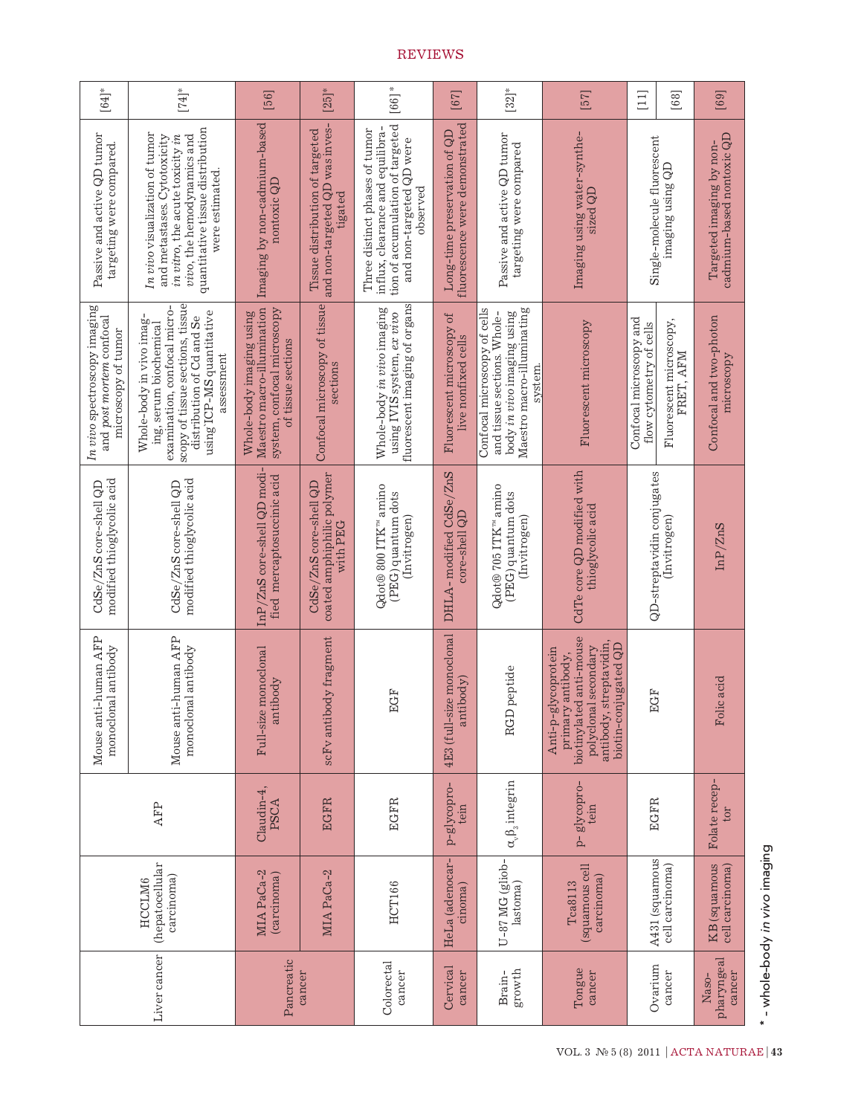| l |
|---|
|   |
|   |
|   |
| ï |
|   |
|   |
|   |
|   |
| × |

| $[64]$ *                                                                        | $[74]$ *                                                                                                                                                                                       | $[56]$                                                                                                      |                                                                              | $\boldsymbol{\varkappa}$<br>[66]                                                                                                               | $[67]$                                                         | $[32]$ *                                                                                                                                  | $[57]$                                                                                                                                            | $\begin{bmatrix} 11 \end{bmatrix}$                 | [68]                                 | [69]                                                  |
|---------------------------------------------------------------------------------|------------------------------------------------------------------------------------------------------------------------------------------------------------------------------------------------|-------------------------------------------------------------------------------------------------------------|------------------------------------------------------------------------------|------------------------------------------------------------------------------------------------------------------------------------------------|----------------------------------------------------------------|-------------------------------------------------------------------------------------------------------------------------------------------|---------------------------------------------------------------------------------------------------------------------------------------------------|----------------------------------------------------|--------------------------------------|-------------------------------------------------------|
| Passive and active QD tumor<br>targeting were compared                          | quantitative tissue distribution<br>In vivo visualization of tumor<br>and metastases. Cytotoxicity<br>in vitro, the acute toxicity in<br><i>vivo</i> , the hemodynamics and<br>were estimated. | Imaging by non-cadmium-based<br>nontoxic QD                                                                 | and non-targeted QD was inves-<br>Tissue distribution of targeted<br>tigated | tion of accumulation of targeted<br>influx, clearance and equilibra-<br>Three distinct phases of tumor<br>and non-targeted QD were<br>observed | fluorescence were demonstrated<br>Long-time preservation of QD | Passive and active QD tumor<br>targeting were compared                                                                                    | Imaging using water-synthe-<br>sized QD                                                                                                           | Single-molecule fluorescent<br>imaging using QD    |                                      | cadmium-based nontoxic QD<br>Targeted imaging by non- |
| In vivo spectroscopy imaging<br>and post mortem confocal<br>microscopy of tumor | scopy of tissue sections, tissue<br>examination, confocal micro-<br>using ICP-MS quantitative<br>distribution of Cd and Se<br>Whole-body in vivo imag-<br>ing, serum biochemical<br>assessment | Maestro macro-illumination<br>system, confocal microscopy<br>Whole-body imaging using<br>of tissue sections | Confocal microscopy of tissue<br>sections                                    | fluorescent imaging of organs<br>Whole-body in vivo imaging<br>using IVIS system, ex vivo                                                      | $\sigma$ f<br>Fluorescent microscopy<br>live nonfixed cells    | Confocal microscopy of cells<br>Maestro macro-illuminating<br>body <i>in vivo</i> imaging using<br>and tissue sections. Whole-<br>system. | Fluorescent microscopy                                                                                                                            | Confocal microscopy and<br>flow cytometry of cells | Fluorescent microscopy,<br>FRET, AFM | Confocal and two-photon<br>microscopy                 |
| modified thioglycolic acid<br>CdSe/ZnS core-shell QD                            | modified thioglycolic acid<br>CdSe/ZnS core-shell QD                                                                                                                                           | InP/ZnS core-shell QD modi-<br>fied mercaptosuccinic acid                                                   | coated amphiphilic polymer<br>CdSe/ZnS core-shell QD<br>with PEG             | Qdot® 800 ITK <sup>™</sup> amino<br>(PEG) quantum dots<br>(Invitrogen)                                                                         | DHLA-modified CdSe/ZnS<br>core-shell QD                        | Qdot® 705 ITK <sup>™</sup> amino<br>(PEG) quantum dots<br>(Invitrogen)                                                                    | $CdTe$ core QD modified with<br>thioglycolic acid                                                                                                 | QD-streptavidin conjugates<br>(Invitrogen)         |                                      | InP/ZnS                                               |
| Mouse anti-human AFP<br>monoclonal antibody                                     | Mouse anti-human AFP<br>monoclonal antibody<br>Full-size monoclonal<br>antibody                                                                                                                |                                                                                                             | scFv antibody fragment                                                       | EGF                                                                                                                                            | 4E3 (full-size monoclonal<br>antibody)                         | RGD peptide                                                                                                                               | biotinylated anti-mouse<br>antibody, streptavidin,<br>biotin-conjugated QD<br>secondary<br>Anti-p-glycoprotein<br>primary antibody,<br>polyclonal | EGF                                                |                                      | Folic acid                                            |
|                                                                                 | AFP                                                                                                                                                                                            | Claudin-4,<br><b>PSCA</b>                                                                                   | <b>EGFR</b>                                                                  | <b>EGFR</b>                                                                                                                                    | p-glycopro-<br>tein                                            | $\alpha_{\nu}$ $\beta_{3}$ integrin                                                                                                       | b-glycopro-<br>tein                                                                                                                               | <b>EGFR</b>                                        |                                      | Folate recep-<br>tor                                  |
|                                                                                 | (hepatocellular<br>carcinoma)<br>HCCLM6                                                                                                                                                        | MIA PaCa-2<br>(carcinoma)                                                                                   | MIA PaCa-2                                                                   | HCT166                                                                                                                                         | HeLa (adenocar-<br>cinoma)                                     | U-87 MG (gliob-<br>lastoma)                                                                                                               | (squamous cell<br>carcinoma)<br>Tca8113                                                                                                           | A431 (squamous<br>cell carcinoma)                  |                                      | KB (squamous<br>cell carcinoma)                       |
|                                                                                 | Liver cancer                                                                                                                                                                                   | Pancreatic<br>cancer                                                                                        |                                                                              | Colorectal<br>cancer                                                                                                                           | Cervical<br>cancer                                             | growth<br>Brain-                                                                                                                          | Tongue<br>cancer                                                                                                                                  | Ovarium<br>cancer                                  |                                      | pharyngeal<br>cancer<br>Naso-                         |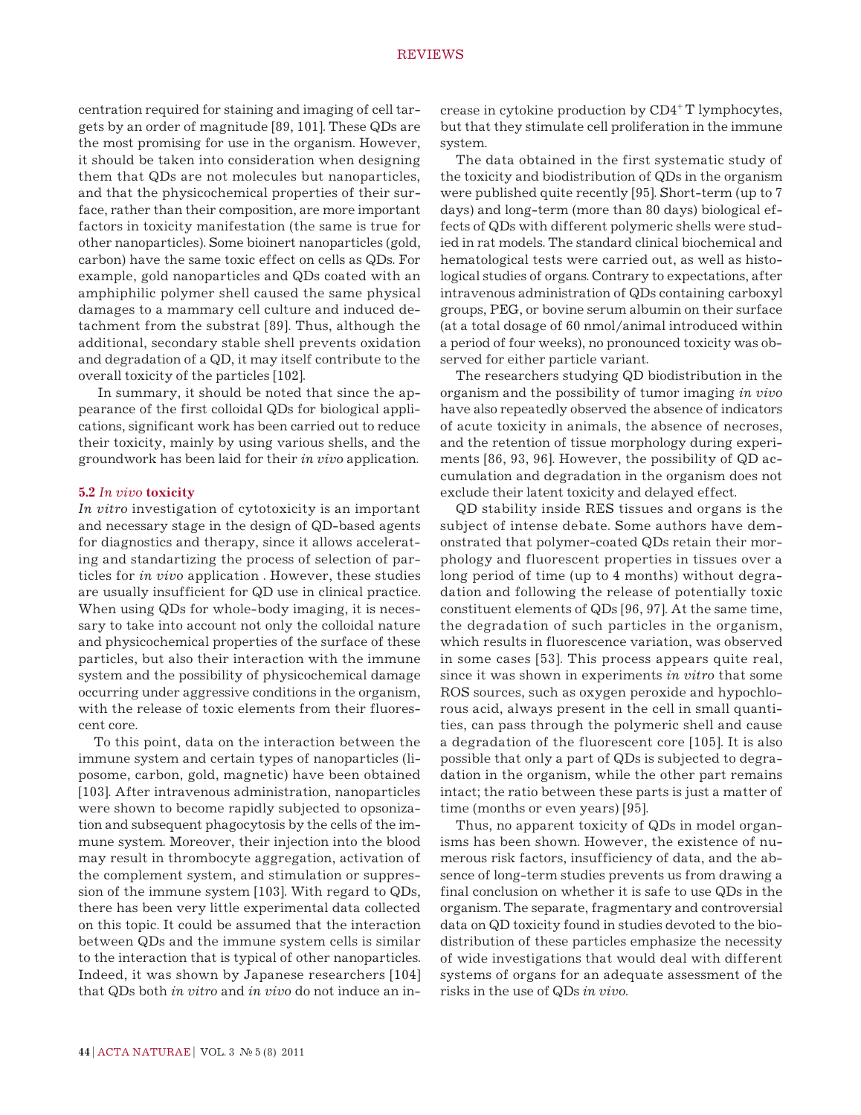centration required for staining and imaging of cell targets by an order of magnitude [89, 101]. These QDs are the most promising for use in the organism. However, it should be taken into consideration when designing them that QDs are not molecules but nanoparticles, and that the physicochemical properties of their surface, rather than their composition, are more important factors in toxicity manifestation (the same is true for other nanoparticles). Some bioinert nanoparticles (gold, carbon) have the same toxic effect on cells as QDs. For example, gold nanoparticles and QDs coated with an amphiphilic polymer shell caused the same physical damages to a mammary cell culture and induced detachment from the substrat [89]. Thus, although the additional, secondary stable shell prevents oxidation and degradation of a QD, it may itself contribute to the overall toxicity of the particles [102].

 In summary, it should be noted that since the appearance of the first colloidal QDs for biological applications, significant work has been carried out to reduce their toxicity, mainly by using various shells, and the groundwork has been laid for their *in vivo* application.

## **5.2** *In vivo* **toxicity**

*In vitro* investigation of cytotoxicity is an important and necessary stage in the design of QD-based agents for diagnostics and therapy, since it allows accelerating and standartizing the process of selection of particles for *in vivo* application . However, these studies are usually insufficient for QD use in clinical practice. When using QDs for whole-body imaging, it is necessary to take into account not only the colloidal nature and physicochemical properties of the surface of these particles, but also their interaction with the immune system and the possibility of physicochemical damage occurring under aggressive conditions in the organism, with the release of toxic elements from their fluorescent core.

To this point, data on the interaction between the immune system and certain types of nanoparticles (liposome, carbon, gold, magnetic) have been obtained [103]. After intravenous administration, nanoparticles were shown to become rapidly subjected to opsonization and subsequent phagocytosis by the cells of the immune system. Moreover, their injection into the blood may result in thrombocyte aggregation, activation of the complement system, and stimulation or suppression of the immune system [103]. With regard to QDs, there has been very little experimental data collected on this topic. It could be assumed that the interaction between QDs and the immune system cells is similar to the interaction that is typical of other nanoparticles. Indeed, it was shown by Japanese researchers [104] that QDs both *in vitro* and *in vivo* do not induce an increase in cytokine production by CD4+ Т lymphocytes, but that they stimulate cell proliferation in the immune system.

The data obtained in the first systematic study of the toxicity and biodistribution of QDs in the organism were published quite recently [95]. Short-term (up to 7 days) and long-term (more than 80 days) biological effects of QDs with different polymeric shells were studied in rat models. The standard clinical biochemical and hematological tests were carried out, as well as histological studies of organs. Contrary to expectations, after intravenous administration of QDs containing carboxyl groups, PEG, or bovine serum albumin on their surface (at a total dosage of 60 nmol/animal introduced within a period of four weeks), no pronounced toxicity was observed for either particle variant.

The researchers studying QD biodistribution in the organism and the possibility of tumor imaging *in vivo*  have also repeatedly observed the absence of indicators of acute toxicity in animals, the absence of necroses, and the retention of tissue morphology during experiments [86, 93, 96]. However, the possibility of QD accumulation and degradation in the organism does not exclude their latent toxicity and delayed effect.

QD stability inside RES tissues and organs is the subject of intense debate. Some authors have demonstrated that polymer-coated QDs retain their morphology and fluorescent properties in tissues over a long period of time (up to 4 months) without degradation and following the release of potentially toxic constituent elements of QDs [96, 97]. At the same time, the degradation of such particles in the organism, which results in fluorescence variation, was observed in some cases [53]. This process appears quite real, since it was shown in experiments *in vitro* that some ROS sources, such as oxygen peroxide and hypochlorous acid, always present in the cell in small quantities, can pass through the polymeric shell and cause a degradation of the fluorescent core [105]. It is also possible that only a part of QDs is subjected to degradation in the organism, while the other part remains intact; the ratio between these parts is just a matter of time (months or even years) [95].

Thus, no apparent toxicity of QDs in model organisms has been shown. However, the existence of numerous risk factors, insufficiency of data, and the absence of long-term studies prevents us from drawing a final conclusion on whether it is safe to use QDs in the organism. The separate, fragmentary and controversial data on QD toxicity found in studies devoted to the biodistribution of these particles emphasize the necessity of wide investigations that would deal with different systems of organs for an adequate assessment of the risks in the use of QDs *in vivo*.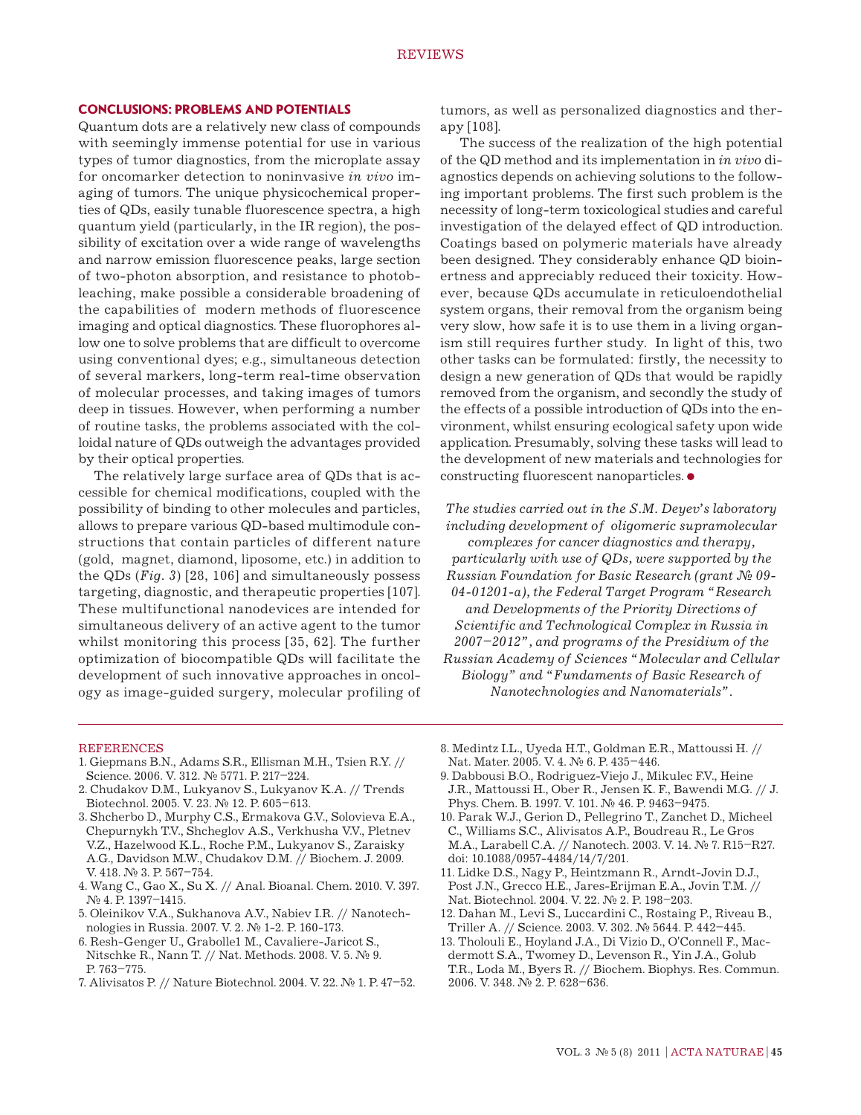# **COnclusions: problems and potentials**

Quantum dots are a relatively new class of compounds with seemingly immense potential for use in various types of tumor diagnostics, from the microplate assay for oncomarker detection to noninvasive *in vivo* imaging of tumors. The unique physicochemical properties of QDs, easily tunable fluorescence spectra, a high quantum yield (particularly, in the IR region), the possibility of excitation over a wide range of wavelengths and narrow emission fluorescence peaks, large section of two-photon absorption, and resistance to photobleaching, make possible a considerable broadening of the capabilities of modern methods of fluorescence imaging and optical diagnostics. These fluorophores allow one to solve problems that are difficult to overcome using conventional dyes; e.g., simultaneous detection of several markers, long-term real-time observation of molecular processes, and taking images of tumors deep in tissues. However, when performing a number of routine tasks, the problems associated with the colloidal nature of QDs outweigh the advantages provided by their optical properties.

The relatively large surface area of QDs that is accessible for chemical modifications, coupled with the possibility of binding to other molecules and particles, allows to prepare various QD-based multimodule constructions that contain particles of different nature (gold, magnet, diamond, liposome, etc.) in addition to the QDs (*Fig. 3*) [28, 106] and simultaneously possess targeting, diagnostic, and therapeutic properties [107]. These multifunctional nanodevices are intended for simultaneous delivery of an active agent to the tumor whilst monitoring this process [35, 62]. The further optimization of biocompatible QDs will facilitate the development of such innovative approaches in oncology as image-guided surgery, molecular profiling of tumors, as well as personalized diagnostics and therapy [108].

The success of the realization of the high potential of the QD method and its implementation in *in vivo* diagnostics depends on achieving solutions to the following important problems. The first such problem is the necessity of long-term toxicological studies and careful investigation of the delayed effect of QD introduction. Coatings based on polymeric materials have already been designed. They considerably enhance QD bioinertness and appreciably reduced their toxicity. However, because QDs accumulate in reticuloendothelial system organs, their removal from the organism being very slow, how safe it is to use them in a living organism still requires further study. In light of this, two other tasks can be formulated: firstly, the necessity to design a new generation of QDs that would be rapidly removed from the organism, and secondly the study of the effects of a possible introduction of QDs into the environment, whilst ensuring ecological safety upon wide application. Presumably, solving these tasks will lead to the development of new materials and technologies for constructing fluorescent nanoparticles.

*The studies carried out in the S.M. Deyev's laboratory including development of oligomeric supramolecular complexes for cancer diagnostics and therapy, particularly with use of QDs, were supported by the Russian Foundation for Basic Research (grant № 09- 04-01201-a), the Federal Target Program "Research and Developments of the Priority Directions of Scientific and Technological Complex in Russia in 2007–2012", and programs of the Presidium of the Russian Academy of Sciences "Molecular and Cellular Biology" and "Fundaments of Basic Research of Nanotechnologies and Nanomaterials".*

## **REFERENCES**

- 1. Giepmans B.N., Adams S.R., Ellisman M.H., Tsien R.Y. // Science. 2006. V. 312. № 5771. P. 217–224.
- 2. Chudakov D.M., Lukyanov S., Lukyanov K.A. // Trends Biotechnol. 2005. V. 23. № 12. P. 605–613.
- 3. Shcherbo D., Murphy C.S., Ermakova G.V., Solovieva E.A., Chepurnykh T.V., Shcheglov A.S., Verkhusha V.V., Pletnev V.Z., Hazelwood K.L., Roche P.M., Lukyanov S., Zaraisky A.G., Davidson M.W., Chudakov D.M. // Biochem. J. 2009. V. 418. № 3. P. 567–754.
- 4. Wang C., Gao X., Su X. // Anal. Bioanal. Chem. 2010. V. 397. № 4. P. 1397–1415.
- 5. Oleinikov V.A., Sukhanova A.V., Nabiev I.R. // Nanotechnologies in Russia. 2007. V. 2. № 1-2. P. 160-173.
- 6. Resh-Genger U., Grabolle1 M., Cavaliere-Jaricot S., Nitschke R., Nann T. // Nat. Methods. 2008. V. 5. № 9. P. 763–775.
- 7. Alivisatos P. // Nature Biotechnol. 2004. V. 22. № 1. P. 47–52.
- 8. Medintz I.L., Uyeda H.T., Goldman E.R., Mattoussi H. // Nat. Mater. 2005. V. 4. № 6. P. 435–446.
- 9. Dabbousi B.O., Rodriguez-Viejo J., Mikulec F.V., Heine J.R., Mattoussi H., Ober R., Jensen K. F., Bawendi M.G. // J. Phys. Chem. B. 1997. V. 101. № 46. P. 9463–9475.
- 10. Parak W.J., Gerion D., Pellegrino T., Zanchet D., Micheel C., Williams S.C., Alivisatos A.P., Boudreau R., Le Gros M.A., Larabell C.A. // Nanotech. 2003. V. 14. № 7. R15–R27. doi: 10.1088/0957-4484/14/7/201.
- 11. Lidke D.S., Nagy P., Heintzmann R., Arndt-Jovin D.J., Post J.N., Grecco H.E., Jares-Erijman E.A., Jovin T.M. // Nat. Biotechnol. 2004. V. 22. № 2. P. 198-203.
- 12. Dahan M., Levi S., Luccardini C., Rostaing P., Riveau B., Triller A. // Science. 2003. V. 302. № 5644. P. 442–445.
- 13. Tholouli E., Hoyland J.A., Di Vizio D., O'Connell F., Macdermott S.A., Twomey D., Levenson R., Yin J.A., Golub T.R., Loda M., Byers R. // Biochem. Biophys. Res. Commun. 2006. V. 348. № 2. P. 628–636.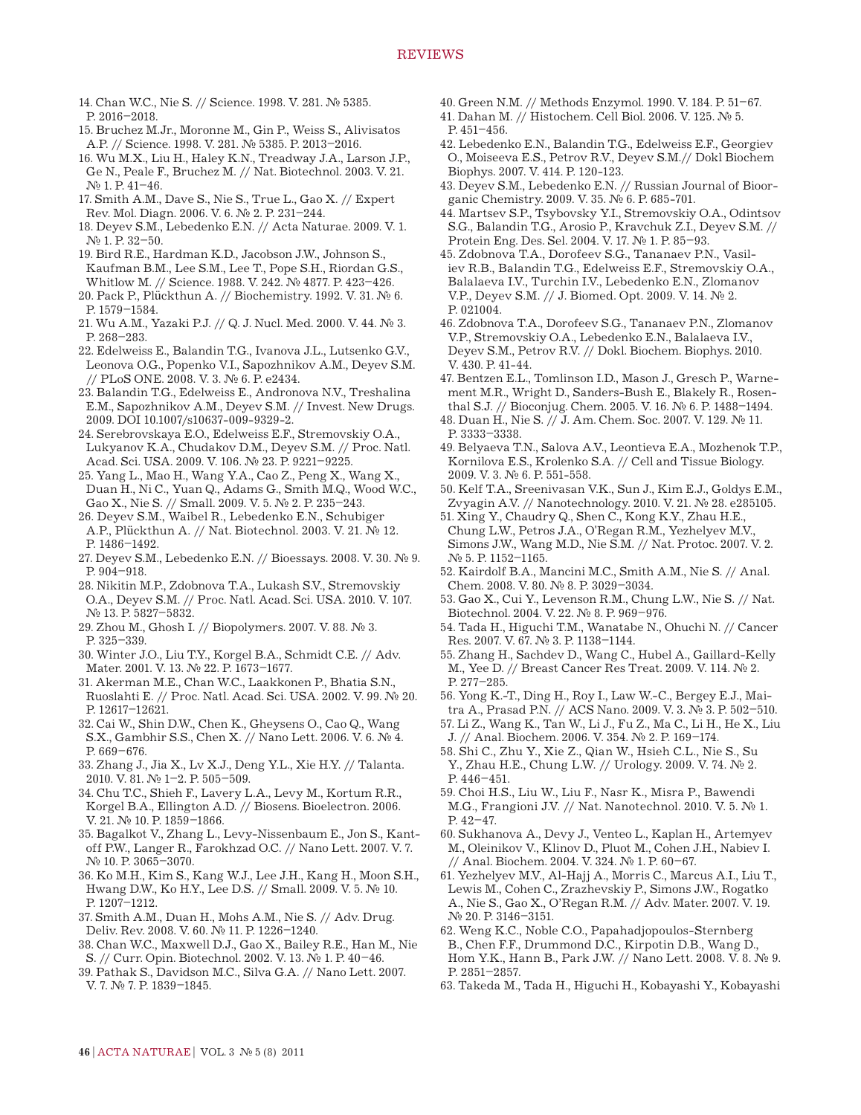- 14. Chan W.C., Nie S. // Science. 1998. V. 281. № 5385. P. 2016–2018.
- 15. Bruchez M.Jr., Moronne M., Gin P., Weiss S., Alivisatos A.P. // Science. 1998. V. 281. № 5385. P. 2013–2016.
- 16. Wu M.X., Liu H., Haley K.N., Treadway J.A., Larson J.P., Ge N., Peale F., Bruchez M. // Nat. Biotechnol. 2003. V. 21. № 1. P. 41–46.
- 17. Smith A.M., Dave S., Nie S., True L., Gao X. // Expert Rev. Mol. Diagn. 2006. V. 6. № 2. P. 231–244.
- 18. Deyev S.M., Lebedenko E.N. // Aсta Naturae. 2009. V. 1. № 1. P. 32–50.
- 19. Bird R.E., Hardman K.D., Jacobson J.W., Johnson S., Kaufman B.M., Lee S.M., Lee T., Pope S.H., Riordan G.S., Whitlow M. // Science. 1988. V. 242. № 4877. P. 423–426.
- 20. Pack P., Plückthun A. // Biochemistry. 1992. V. 31. № 6. P. 1579–1584.
- 21. Wu A.M., Yazaki P.J. // Q. J. Nucl. Med. 2000. V. 44. № 3. P. 268–283.
- 22. Edelweiss E., Balandin T.G., Ivanova J.L., Lutsenko G.V., Leonova O.G., Popenko V.I., Sapozhnikov A.M., Deyev S.M. // PLoS ONE. 2008. V. 3. № 6. P. e2434.
- 23. Balandin T.G., Edelweiss E., Andronova N.V., Treshalina E.M., Sapozhnikov A.M., Deyev S.M. // Invest. New Drugs. 2009. DOI 10.1007/s10637-009-9329-2.
- 24. Serebrovskaya E.O., Edelweiss E.F., Stremovskiy O.A., Lukyanov K.A., Chudakov D.M., Deyev S.M. // Proc. Natl. Acad. Sci. USA. 2009. V. 106. № 23. P. 9221–9225.
- 25. Yang L., Mao H., Wang Y.A., Cao Z., Peng X., Wang X., Duan H., Ni C., Yuan Q., Adams G., Smith M.Q., Wood W.C., Gao X., Nie S. // Small. 2009. V. 5. № 2. P. 235–243.
- 26. Deyev S.M., Waibel R., Lebedenko E.N., Schubiger A.P., Plückthun A. // Nat. Biotechnol. 2003. V. 21. № 12. P. 1486–1492.
- 27. Deyev S.M., Lebedenko E.N. // Bioessays. 2008. V. 30. № 9. P. 904–918.
- 28. Nikitin M.P., Zdobnova T.A., Lukash S.V., Stremovskiy O.A., Deyev S.M. // Proc. Natl. Acad. Sci. USA. 2010. V. 107. № 13. P. 5827–5832.
- 29. Zhou M., Ghosh I. // Biopolymers. 2007. V. 88. № 3. P. 325–339.
- 30. Winter J.O., Liu T.Y., Korgel B.A., Schmidt C.E. // Adv. Mater. 2001. V. 13. № 22. P. 1673–1677.
- 31. Akerman M.E., Chan W.C., Laakkonen P., Bhatia S.N., Ruoslahti E. // Proc. Natl. Acad. Sci. USA. 2002. V. 99. № 20. P. 12617–12621.
- 32. Cai W., Shin D.W., Chen K., Gheysens O., Cao Q., Wang S.X., Gambhir S.S., Chen X. // Nano Lett. 2006. V. 6. № 4. P. 669–676.
- 33. Zhang J., Jia X., Lv X.J., Deng Y.L., Xie H.Y. // Talanta. 2010. V. 81. № 1–2. P. 505–509.
- 34. Chu T.C., Shieh F., Lavery L.A., Levy M., Kortum R.R., Korgel B.A., Ellington A.D. // Biosens. Bioelectron. 2006. V. 21. № 10. P. 1859–1866.
- 35. Bagalkot V., Zhang L., Levy-Nissenbaum E., Jon S., Kantoff P.W., Langer R., Farokhzad O.C. // Nano Lett. 2007. V. 7. № 10. P. 3065–3070.
- 36. Ko M.H., Kim S., Kang W.J., Lee J.H., Kang H., Moon S.H., Hwang D.W., Ko H.Y., Lee D.S. // Small. 2009. V. 5. № 10. P. 1207–1212.
- 37. Smith A.M., Duan H., Mohs A.M., Nie S. // Adv. Drug. Deliv. Rev. 2008. V. 60. № 11. P. 1226–1240.
- 38. Chan W.C., Maxwell D.J., Gao X., Bailey R.E., Han M., Nie S. // Curr. Opin. Biotechnol. 2002. V. 13. № 1. P. 40–46.
- 39. Pathak S., Davidson M.C., Silva G.A. // Nano Lett. 2007. V. 7. № 7. P. 1839–1845.
- 40. Green N.M. // Methods Enzymol. 1990. V. 184. P. 51–67.
- 41. Dahan M. // Histochem. Cell Biol. 2006. V. 125. № 5. P. 451–456.
- 42. Lebedenko E.N., Balandin T.G., Edelweiss E.F., Georgiev O., Moiseeva E.S., Petrov R.V., Deyev S.M.// Dokl Biochem Biophys. 2007. V. 414. P. 120-123.
- 43. Deyev S.M., Lebedenko E.N. // Russian Journal of Bioorganic Chemistry. 2009. V. 35. № 6. P. 685-701.
- 44. Martsev S.P., Tsybovsky Y.I., Stremovskiy O.A., Odintsov S.G., Balandin T.G., Arosio P., Kravchuk Z.I., Deyev S.M. // Protein Eng. Des. Sel. 2004. V. 17. № 1. P. 85–93.
- 45. Zdobnova T.A., Dorofeev S.G., Tananaev P.N., Vasiliev R.B., Balandin T.G., Edelweiss E.F., Stremovskiy O.A., Balalaeva I.V., Turchin I.V., Lebedenko E.N., Zlomanov V.P., Deyev S.M. // J. Biomed. Opt. 2009. V. 14. № 2. P. 021004.
- 46. Zdobnova T.A., Dorofeev S.G., Tananaev P.N., Zlomanov V.P., Stremovskiy O.A., Lebedenko E.N., Balalaeva I.V., Deyev S.M., Petrov R.V. // Dokl. Biochem. Biophys. 2010. V. 430. P. 41-44.
- 47. Bentzen E.L., Tomlinson I.D., Mason J., Gresch P., Warnement M.R., Wright D., Sanders-Bush E., Blakely R., Rosenthal S.J. // Bioconjug. Chem. 2005. V. 16. № 6. P. 1488–1494.
- 48. Duan H., Nie S. // J. Am. Chem. Soc. 2007. V. 129. № 11. P. 3333–3338.
- 49. Belyaeva T.N., Salova A.V., Leontieva E.A., Mozhenok T.P., Kornilova E.S., Krolenko S.A. // Cell and Tissue Biology. 2009. V. 3. № 6. P. 551-558.
- 50. Kelf T.A., Sreenivasan V.K., Sun J., Kim E.J., Goldys E.M., Zvyagin A.V. // Nanotechnology. 2010. V. 21. № 28. e285105.
- 51. Xing Y., Chaudry Q., Shen C., Kong K.Y., Zhau H.E., Chung L.W., Petros J.A., O'Regan R.M., Yezhelyev M.V., Simons J.W., Wang M.D., Nie S.M. // Nat. Protoc. 2007. V. 2. № 5. P. 1152–1165.
- 52. Kairdolf B.A., Mancini M.C., Smith A.M., Nie S. // Anal. Chem. 2008. V. 80. № 8. P. 3029–3034.
- 53. Gao X., Cui Y., Levenson R.M., Chung L.W., Nie S. // Nat. Biotechnol. 2004. V. 22. № 8. P. 969–976.
- 54. Tada H., Higuchi T.M., Wanatabe N., Ohuchi N. // Cancer Res. 2007. V. 67. № 3. P. 1138–1144.
- 55. Zhang H., Sachdev D., Wang C., Hubel A., Gaillard-Kelly M., Yee D. // Breast Cancer Res Treat. 2009. V. 114. № 2. P. 277–285.
- 56. Yong K.-T., Ding H., Roy I., Law W.-C., Bergey E.J., Maitra A., Prasad P.N. // ACS Nano. 2009. V. 3. № 3. P. 502–510.
- 57. Li Z., Wang K., Tan W., Li J., Fu Z., Ma C., Li H., He X., Liu J. // Anal. Biochem. 2006. V. 354. № 2. P. 169–174.
- 58. Shi C., Zhu Y., Xie Z., Qian W., Hsieh C.L., Nie S., Su Y., Zhau H.E., Chung L.W. // Urology. 2009. V. 74. № 2. P. 446–451.
- 59. Choi H.S., Liu W., Liu F., Nasr K., Misra P., Bawendi M.G., Frangioni J.V. // Nat. Nanotechnol. 2010. V. 5. № 1. P. 42–47.
- 60. Sukhanova A., Devy J., Venteo L., Kaplan H., Artemyev M., Oleinikov V., Klinov D., Pluot M., Cohen J.H., Nabiev I. // Anal. Biochem. 2004. V. 324. № 1. P. 60–67.
- 61. Yezhelyev M.V., Al-Hajj A., Morris C., Marcus A.I., Liu T., Lewis M., Cohen C., Zrazhevskiy P., Simons J.W., Rogatko A., Nie S., Gao X., O'Regan R.M. // Adv. Mater. 2007. V. 19. № 20. P. 3146–3151.
- 62. Weng K.C., Noble C.O., Papahadjopoulos-Sternberg B., Chen F.F., Drummond D.C., Kirpotin D.B., Wang D., Hom Y.K., Hann B., Park J.W. // Nano Lett. 2008. V. 8. № 9. P. 2851–2857.
- 63. Takeda M., Tada H., Higuchi H., Kobayashi Y., Kobayashi